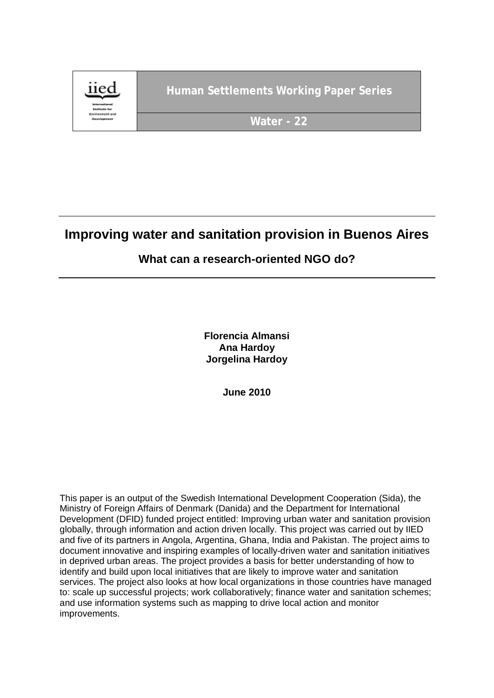

# **Improving water and sanitation provision in Buenos Aires**

# **What can a research-oriented NGO do?**

**Florencia Almansi Ana Hardoy Jorgelina Hardoy**

**June 2010**

This paper is an output of the Swedish International Development Cooperation (Sida), the Ministry of Foreign Affairs of Denmark (Danida) and the Department for International Development (DFID) funded project entitled: Improving urban water and sanitation provision globally, through information and action driven locally. This project was carried out by IIED and five of its partners in Angola, Argentina, Ghana, India and Pakistan. The project aims to document innovative and inspiring examples of locally-driven water and sanitation initiatives in deprived urban areas. The project provides a basis for better understanding of how to identify and build upon local initiatives that are likely to improve water and sanitation services. The project also looks at how local organizations in those countries have managed to: scale up successful projects; work collaboratively; finance water and sanitation schemes; and use information systems such as mapping to drive local action and monitor improvements.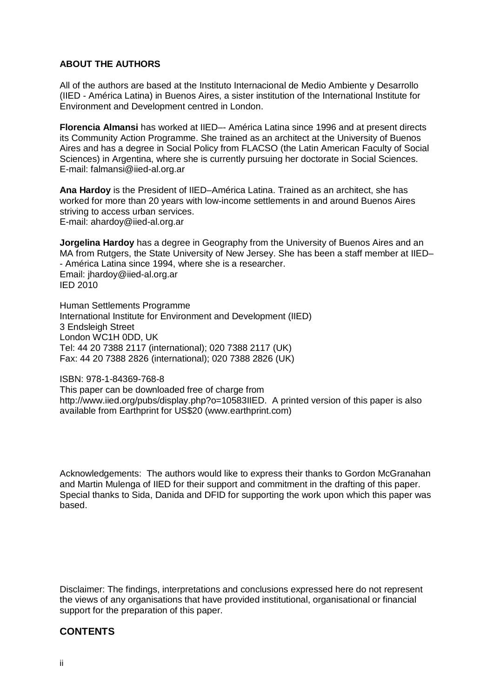#### **ABOUT THE AUTHORS**

All of the authors are based at the Instituto Internacional de Medio Ambiente y Desarrollo (IIED - América Latina) in Buenos Aires, a sister institution of the International Institute for Environment and Development centred in London.

**Florencia Almansi** has worked at IIED–- América Latina since 1996 and at present directs its Community Action Programme. She trained as an architect at the University of Buenos Aires and has a degree in Social Policy from FLACSO (the Latin American Faculty of Social Sciences) in Argentina, where she is currently pursuing her doctorate in Social Sciences. E-mail: falmansi@iied-al.org.ar

**Ana Hardoy** is the President of IIED–América Latina. Trained as an architect, she has worked for more than 20 years with low-income settlements in and around Buenos Aires striving to access urban services. E-mail: ahardoy@iied-al.org.ar

**Jorgelina Hardoy** has a degree in Geography from the University of Buenos Aires and an MA from Rutgers, the State University of New Jersey. She has been a staff member at IIED– - América Latina since 1994, where she is a researcher. Email: jhardoy@iied-al.org.ar IED 2010

Human Settlements Programme International Institute for Environment and Development (IIED) 3 Endsleigh Street London WC1H 0DD, UK Tel: 44 20 7388 2117 (international); 020 7388 2117 (UK) Fax: 44 20 7388 2826 (international); 020 7388 2826 (UK)

ISBN: 978-1-84369-768-8 This paper can be downloaded free of charge from http://www.iied.org/pubs/display.php?o=10583IIED. A printed version of this paper is also available from Earthprint for US\$20 (www.earthprint.com)

Acknowledgements: The authors would like to express their thanks to Gordon McGranahan and Martin Mulenga of IIED for their support and commitment in the drafting of this paper. Special thanks to Sida, Danida and DFID for supporting the work upon which this paper was based.

Disclaimer: The findings, interpretations and conclusions expressed here do not represent the views of any organisations that have provided institutional, organisational or financial support for the preparation of this paper.

# **CONTENTS**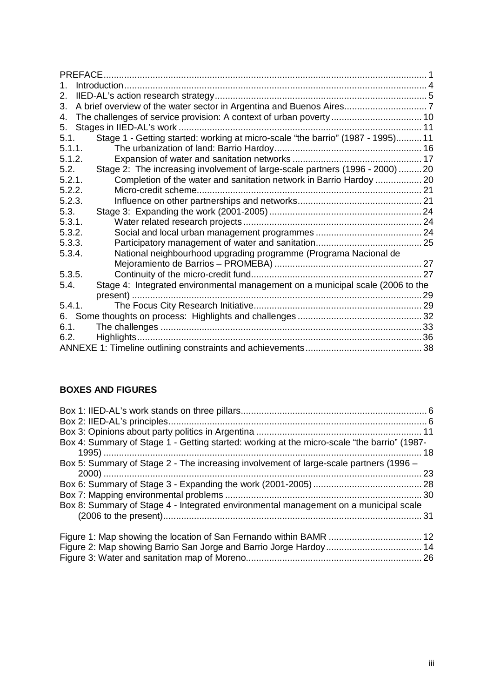| <b>PREFACE</b>                                                                          |  |
|-----------------------------------------------------------------------------------------|--|
| 1.                                                                                      |  |
| 2.                                                                                      |  |
| 3.                                                                                      |  |
| 4.                                                                                      |  |
| 5.                                                                                      |  |
| Stage 1 - Getting started: working at micro-scale "the barrio" (1987 - 1995) 11<br>5.1. |  |
| 5.1.1.                                                                                  |  |
| 5.1.2.                                                                                  |  |
| Stage 2: The increasing involvement of large-scale partners (1996 - 2000) 20<br>5.2.    |  |
| 5.2.1.<br>Completion of the water and sanitation network in Barrio Hardoy  20           |  |
| 5.2.2.                                                                                  |  |
| 5.2.3.                                                                                  |  |
| 5.3.                                                                                    |  |
| 5.3.1.                                                                                  |  |
| 5.3.2.                                                                                  |  |
| 5.3.3.                                                                                  |  |
| National neighbourhood upgrading programme (Programa Nacional de<br>5.3.4.              |  |
|                                                                                         |  |
| 5.3.5.                                                                                  |  |
| Stage 4: Integrated environmental management on a municipal scale (2006 to the<br>5.4.  |  |
|                                                                                         |  |
| 5.4.1.                                                                                  |  |
|                                                                                         |  |
| 6.1.                                                                                    |  |
| 6.2.                                                                                    |  |
|                                                                                         |  |

# **BOXES AND FIGURES**

| Box 4: Summary of Stage 1 - Getting started: working at the micro-scale "the barrio" (1987- |  |
|---------------------------------------------------------------------------------------------|--|
|                                                                                             |  |
| Box 5: Summary of Stage 2 - The increasing involvement of large-scale partners (1996 -      |  |
|                                                                                             |  |
|                                                                                             |  |
|                                                                                             |  |
| Box 8: Summary of Stage 4 - Integrated environmental management on a municipal scale        |  |
|                                                                                             |  |
|                                                                                             |  |
|                                                                                             |  |
|                                                                                             |  |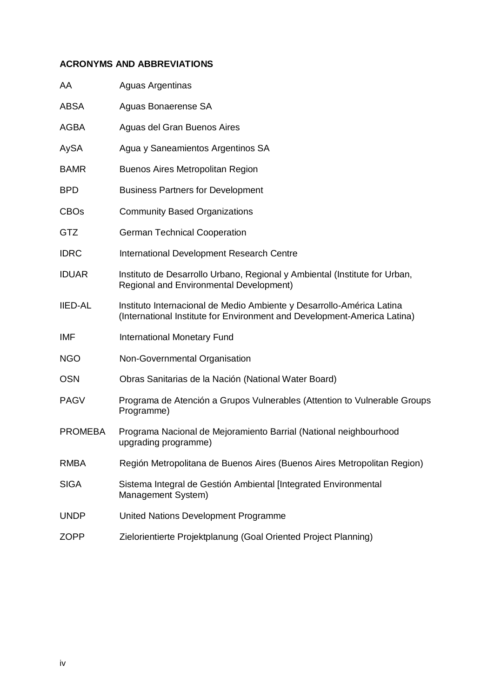# **ACRONYMS AND ABBREVIATIONS**

| AA             | <b>Aguas Argentinas</b>                                                                                                                           |
|----------------|---------------------------------------------------------------------------------------------------------------------------------------------------|
| <b>ABSA</b>    | Aguas Bonaerense SA                                                                                                                               |
| AGBA           | Aguas del Gran Buenos Aires                                                                                                                       |
| AySA           | Agua y Saneamientos Argentinos SA                                                                                                                 |
| <b>BAMR</b>    | <b>Buenos Aires Metropolitan Region</b>                                                                                                           |
| <b>BPD</b>     | <b>Business Partners for Development</b>                                                                                                          |
| <b>CBOs</b>    | <b>Community Based Organizations</b>                                                                                                              |
| GTZ            | <b>German Technical Cooperation</b>                                                                                                               |
| <b>IDRC</b>    | International Development Research Centre                                                                                                         |
| <b>IDUAR</b>   | Instituto de Desarrollo Urbano, Regional y Ambiental (Institute for Urban,<br>Regional and Environmental Development)                             |
| <b>IIED-AL</b> | Instituto Internacional de Medio Ambiente y Desarrollo-América Latina<br>(International Institute for Environment and Development-America Latina) |
| IMF            | <b>International Monetary Fund</b>                                                                                                                |
| <b>NGO</b>     | Non-Governmental Organisation                                                                                                                     |
| <b>OSN</b>     | Obras Sanitarias de la Nación (National Water Board)                                                                                              |
| <b>PAGV</b>    | Programa de Atención a Grupos Vulnerables (Attention to Vulnerable Groups<br>Programme)                                                           |
| <b>PROMEBA</b> | Programa Nacional de Mejoramiento Barrial (National neighbourhood<br>upgrading programme)                                                         |
| <b>RMBA</b>    | Región Metropolitana de Buenos Aires (Buenos Aires Metropolitan Region)                                                                           |
| <b>SIGA</b>    | Sistema Integral de Gestión Ambiental [Integrated Environmental<br>Management System)                                                             |
| <b>UNDP</b>    | United Nations Development Programme                                                                                                              |
| <b>ZOPP</b>    | Zielorientierte Projektplanung (Goal Oriented Project Planning)                                                                                   |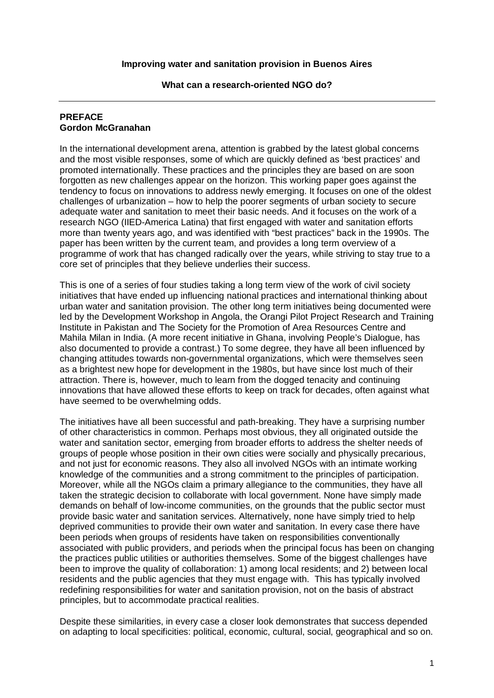**What can a research-oriented NGO do?**

#### **PREFACE Gordon McGranahan**

In the international development arena, attention is grabbed by the latest global concerns and the most visible responses, some of which are quickly defined as 'best practices' and promoted internationally. These practices and the principles they are based on are soon forgotten as new challenges appear on the horizon. This working paper goes against the tendency to focus on innovations to address newly emerging. It focuses on one of the oldest challenges of urbanization – how to help the poorer segments of urban society to secure adequate water and sanitation to meet their basic needs. And it focuses on the work of a research NGO (IIED-America Latina) that first engaged with water and sanitation efforts more than twenty years ago, and was identified with "best practices" back in the 1990s. The paper has been written by the current team, and provides a long term overview of a programme of work that has changed radically over the years, while striving to stay true to a core set of principles that they believe underlies their success.

This is one of a series of four studies taking a long term view of the work of civil society initiatives that have ended up influencing national practices and international thinking about urban water and sanitation provision. The other long term initiatives being documented were led by the Development Workshop in Angola, the Orangi Pilot Project Research and Training Institute in Pakistan and The Society for the Promotion of Area Resources Centre and Mahila Milan in India. (A more recent initiative in Ghana, involving People's Dialogue, has also documented to provide a contrast.) To some degree, they have all been influenced by changing attitudes towards non-governmental organizations, which were themselves seen as a brightest new hope for development in the 1980s, but have since lost much of their attraction. There is, however, much to learn from the dogged tenacity and continuing innovations that have allowed these efforts to keep on track for decades, often against what have seemed to be overwhelming odds.

The initiatives have all been successful and path-breaking. They have a surprising number of other characteristics in common. Perhaps most obvious, they all originated outside the water and sanitation sector, emerging from broader efforts to address the shelter needs of groups of people whose position in their own cities were socially and physically precarious, and not just for economic reasons. They also all involved NGOs with an intimate working knowledge of the communities and a strong commitment to the principles of participation. Moreover, while all the NGOs claim a primary allegiance to the communities, they have all taken the strategic decision to collaborate with local government. None have simply made demands on behalf of low-income communities, on the grounds that the public sector must provide basic water and sanitation services. Alternatively, none have simply tried to help deprived communities to provide their own water and sanitation. In every case there have been periods when groups of residents have taken on responsibilities conventionally associated with public providers, and periods when the principal focus has been on changing the practices public utilities or authorities themselves. Some of the biggest challenges have been to improve the quality of collaboration: 1) among local residents; and 2) between local residents and the public agencies that they must engage with. This has typically involved redefining responsibilities for water and sanitation provision, not on the basis of abstract principles, but to accommodate practical realities.

Despite these similarities, in every case a closer look demonstrates that success depended on adapting to local specificities: political, economic, cultural, social, geographical and so on.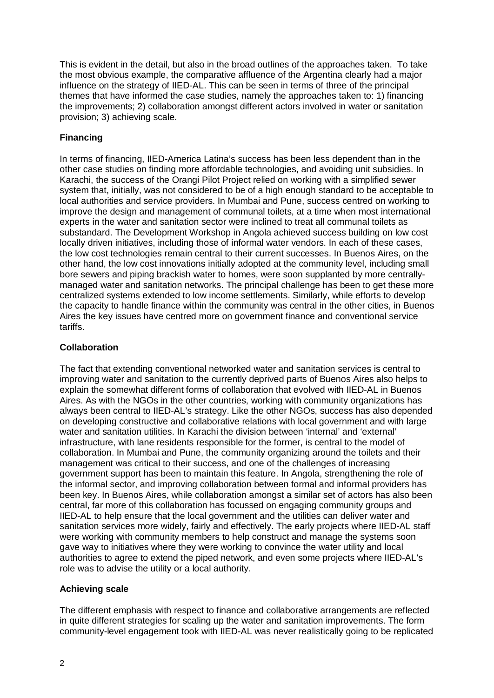This is evident in the detail, but also in the broad outlines of the approaches taken. To take the most obvious example, the comparative affluence of the Argentina clearly had a major influence on the strategy of IIED-AL. This can be seen in terms of three of the principal themes that have informed the case studies, namely the approaches taken to: 1) financing the improvements; 2) collaboration amongst different actors involved in water or sanitation provision; 3) achieving scale.

# **Financing**

In terms of financing, IIED-America Latina's success has been less dependent than in the other case studies on finding more affordable technologies, and avoiding unit subsidies. In Karachi, the success of the Orangi Pilot Project relied on working with a simplified sewer system that, initially, was not considered to be of a high enough standard to be acceptable to local authorities and service providers. In Mumbai and Pune, success centred on working to improve the design and management of communal toilets, at a time when most international experts in the water and sanitation sector were inclined to treat all communal toilets as substandard. The Development Workshop in Angola achieved success building on low cost locally driven initiatives, including those of informal water vendors. In each of these cases, the low cost technologies remain central to their current successes. In Buenos Aires, on the other hand, the low cost innovations initially adopted at the community level, including small bore sewers and piping brackish water to homes, were soon supplanted by more centrallymanaged water and sanitation networks. The principal challenge has been to get these more centralized systems extended to low income settlements. Similarly, while efforts to develop the capacity to handle finance within the community was central in the other cities, in Buenos Aires the key issues have centred more on government finance and conventional service tariffs.

# **Collaboration**

The fact that extending conventional networked water and sanitation services is central to improving water and sanitation to the currently deprived parts of Buenos Aires also helps to explain the somewhat different forms of collaboration that evolved with IIED-AL in Buenos Aires. As with the NGOs in the other countries, working with community organizations has always been central to IIED-AL's strategy. Like the other NGOs, success has also depended on developing constructive and collaborative relations with local government and with large water and sanitation utilities. In Karachi the division between 'internal' and 'external' infrastructure, with lane residents responsible for the former, is central to the model of collaboration. In Mumbai and Pune, the community organizing around the toilets and their management was critical to their success, and one of the challenges of increasing government support has been to maintain this feature. In Angola, strengthening the role of the informal sector, and improving collaboration between formal and informal providers has been key. In Buenos Aires, while collaboration amongst a similar set of actors has also been central, far more of this collaboration has focussed on engaging community groups and IIED-AL to help ensure that the local government and the utilities can deliver water and sanitation services more widely, fairly and effectively. The early projects where IIED-AL staff were working with community members to help construct and manage the systems soon gave way to initiatives where they were working to convince the water utility and local authorities to agree to extend the piped network, and even some projects where IIED-AL's role was to advise the utility or a local authority.

# **Achieving scale**

The different emphasis with respect to finance and collaborative arrangements are reflected in quite different strategies for scaling up the water and sanitation improvements. The form community-level engagement took with IIED-AL was never realistically going to be replicated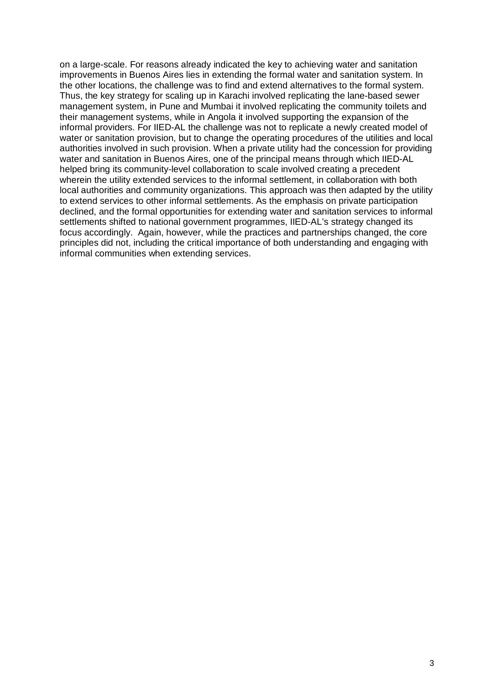on a large-scale. For reasons already indicated the key to achieving water and sanitation improvements in Buenos Aires lies in extending the formal water and sanitation system. In the other locations, the challenge was to find and extend alternatives to the formal system. Thus, the key strategy for scaling up in Karachi involved replicating the lane-based sewer management system, in Pune and Mumbai it involved replicating the community toilets and their management systems, while in Angola it involved supporting the expansion of the informal providers. For IIED-AL the challenge was not to replicate a newly created model of water or sanitation provision, but to change the operating procedures of the utilities and local authorities involved in such provision. When a private utility had the concession for providing water and sanitation in Buenos Aires, one of the principal means through which IIED-AL helped bring its community-level collaboration to scale involved creating a precedent wherein the utility extended services to the informal settlement, in collaboration with both local authorities and community organizations. This approach was then adapted by the utility to extend services to other informal settlements. As the emphasis on private participation declined, and the formal opportunities for extending water and sanitation services to informal settlements shifted to national government programmes, IIED-AL's strategy changed its focus accordingly. Again, however, while the practices and partnerships changed, the core principles did not, including the critical importance of both understanding and engaging with informal communities when extending services.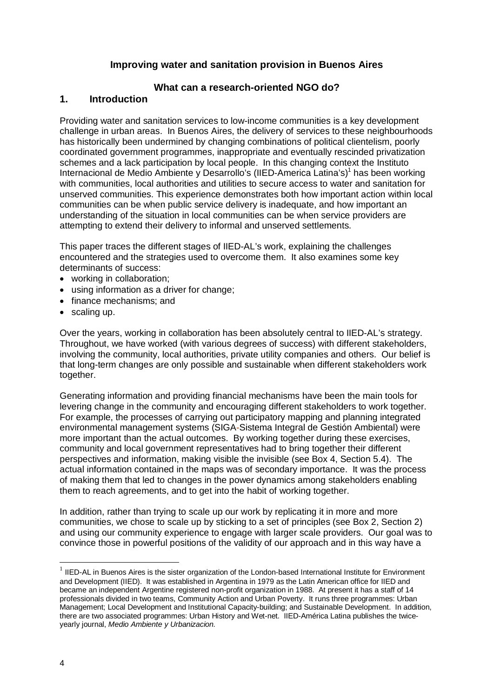# **Improving water and sanitation provision in Buenos Aires**

# **What can a research-oriented NGO do?**

# **1. Introduction**

Providing water and sanitation services to low-income communities is a key development challenge in urban areas. In Buenos Aires, the delivery of services to these neighbourhoods has historically been undermined by changing combinations of political clientelism, poorly coordinated government programmes, inappropriate and eventually rescinded privatization schemes and a lack participation by local people. In this changing context the Instituto Internacional de Medio Ambiente y Desarrollo's (IIED-America Latina's)<sup>1</sup> has been working with communities, local authorities and utilities to secure access to water and sanitation for unserved communities. This experience demonstrates both how important action within local communities can be when public service delivery is inadequate, and how important an understanding of the situation in local communities can be when service providers are attempting to extend their delivery to informal and unserved settlements.

This paper traces the different stages of IIED-AL's work, explaining the challenges encountered and the strategies used to overcome them. It also examines some key determinants of success:

- working in collaboration;
- using information as a driver for change;
- finance mechanisms: and
- scaling up.

Over the years, working in collaboration has been absolutely central to IIED-AL's strategy. Throughout, we have worked (with various degrees of success) with different stakeholders, involving the community, local authorities, private utility companies and others. Our belief is that long-term changes are only possible and sustainable when different stakeholders work together.

Generating information and providing financial mechanisms have been the main tools for levering change in the community and encouraging different stakeholders to work together. For example, the processes of carrying out participatory mapping and planning integrated environmental management systems (SIGA-Sistema Integral de Gestión Ambiental) were more important than the actual outcomes. By working together during these exercises, community and local government representatives had to bring together their different perspectives and information, making visible the invisible (see Box 4, Section 5.4). The actual information contained in the maps was of secondary importance. It was the process of making them that led to changes in the power dynamics among stakeholders enabling them to reach agreements, and to get into the habit of working together.

In addition, rather than trying to scale up our work by replicating it in more and more communities, we chose to scale up by sticking to a set of principles (see Box 2, Section 2) and using our community experience to engage with larger scale providers. Our goal was to convince those in powerful positions of the validity of our approach and in this way have a

 $\ddot{\phantom{a}}$ 

 $<sup>1</sup>$  IIED-AL in Buenos Aires is the sister organization of the London-based International Institute for Environment</sup> and Development (IIED). It was established in Argentina in 1979 as the Latin American office for IIED and became an independent Argentine registered non-profit organization in 1988. At present it has a staff of 14 professionals divided in two teams, Community Action and Urban Poverty. It runs three programmes: Urban Management; Local Development and Institutional Capacity-building; and Sustainable Development. In addition, there are two associated programmes: Urban History and Wet-net. IIED-América Latina publishes the twiceyearly journal, *Medio Ambiente y Urbanizacion.*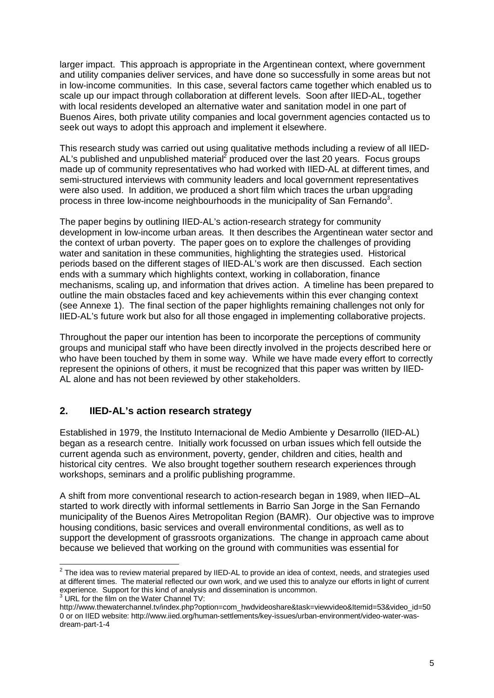larger impact. This approach is appropriate in the Argentinean context, where government and utility companies deliver services, and have done so successfully in some areas but not in low-income communities. In this case, several factors came together which enabled us to scale up our impact through collaboration at different levels. Soon after IIED-AL, together with local residents developed an alternative water and sanitation model in one part of Buenos Aires, both private utility companies and local government agencies contacted us to seek out ways to adopt this approach and implement it elsewhere.

This research study was carried out using qualitative methods including a review of all IIED-AL's published and unpublished material<sup>2</sup> produced over the last 20 years. Focus groups made up of community representatives who had worked with IIED-AL at different times, and semi-structured interviews with community leaders and local government representatives were also used. In addition, we produced a short film which traces the urban upgrading process in three low-income neighbourhoods in the municipality of San Fernando<sup>3</sup>.

The paper begins by outlining IIED-AL's action-research strategy for community development in low-income urban areas. It then describes the Argentinean water sector and the context of urban poverty. The paper goes on to explore the challenges of providing water and sanitation in these communities, highlighting the strategies used. Historical periods based on the different stages of IIED-AL's work are then discussed. Each section ends with a summary which highlights context, working in collaboration, finance mechanisms, scaling up, and information that drives action. A timeline has been prepared to outline the main obstacles faced and key achievements within this ever changing context (see Annexe 1). The final section of the paper highlights remaining challenges not only for IIED-AL's future work but also for all those engaged in implementing collaborative projects.

Throughout the paper our intention has been to incorporate the perceptions of community groups and municipal staff who have been directly involved in the projects described here or who have been touched by them in some way. While we have made every effort to correctly represent the opinions of others, it must be recognized that this paper was written by IIED-AL alone and has not been reviewed by other stakeholders.

# **2. IIED-AL's action research strategy**

Established in 1979, the Instituto Internacional de Medio Ambiente y Desarrollo (IIED-AL) began as a research centre. Initially work focussed on urban issues which fell outside the current agenda such as environment, poverty, gender, children and cities, health and historical city centres. We also brought together southern research experiences through workshops, seminars and a prolific publishing programme.

A shift from more conventional research to action-research began in 1989, when IIED–AL started to work directly with informal settlements in Barrio San Jorge in the San Fernando municipality of the Buenos Aires Metropolitan Region (BAMR). Our objective was to improve housing conditions, basic services and overall environmental conditions, as well as to support the development of grassroots organizations. The change in approach came about because we believed that working on the ground with communities was essential for

 2 The idea was to review material prepared by IIED-AL to provide an idea of context, needs, and strategies used at different times. The material reflected our own work, and we used this to analyze our efforts in light of current experience. Support for this kind of analysis and dissemination is uncommon.<br><sup>3</sup> URL for the film on the Water Channel TV:

http://www.thewaterchannel.tv/index.php?option=com\_hwdvideoshare&task=viewvideo&Itemid=53&video\_id=50 0 or on IIED website: http://www.iied.org/human-settlements/key-issues/urban-environment/video-water-wasdream-part-1-4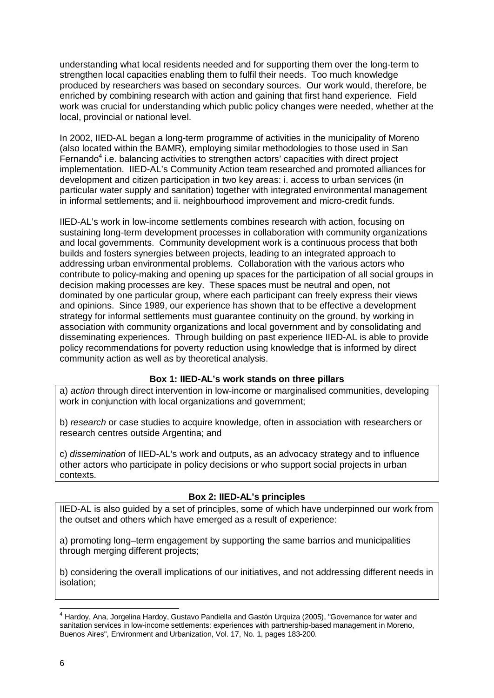understanding what local residents needed and for supporting them over the long-term to strengthen local capacities enabling them to fulfil their needs. Too much knowledge produced by researchers was based on secondary sources. Our work would, therefore, be enriched by combining research with action and gaining that first hand experience. Field work was crucial for understanding which public policy changes were needed, whether at the local, provincial or national level.

In 2002, IIED-AL began a long-term programme of activities in the municipality of Moreno (also located within the BAMR), employing similar methodologies to those used in San Fernando $4$  i.e. balancing activities to strengthen actors' capacities with direct project implementation. IIED-AL's Community Action team researched and promoted alliances for development and citizen participation in two key areas: i. access to urban services (in particular water supply and sanitation) together with integrated environmental management in informal settlements; and ii. neighbourhood improvement and micro-credit funds.

IIED-AL's work in low-income settlements combines research with action, focusing on sustaining long-term development processes in collaboration with community organizations and local governments. Community development work is a continuous process that both builds and fosters synergies between projects, leading to an integrated approach to addressing urban environmental problems. Collaboration with the various actors who contribute to policy-making and opening up spaces for the participation of all social groups in decision making processes are key. These spaces must be neutral and open, not dominated by one particular group, where each participant can freely express their views and opinions. Since 1989, our experience has shown that to be effective a development strategy for informal settlements must guarantee continuity on the ground, by working in association with community organizations and local government and by consolidating and disseminating experiences. Through building on past experience IIED-AL is able to provide policy recommendations for poverty reduction using knowledge that is informed by direct community action as well as by theoretical analysis.

#### **Box 1: IIED-AL's work stands on three pillars**

a) *action* through direct intervention in low-income or marginalised communities, developing work in conjunction with local organizations and government;

b) *research* or case studies to acquire knowledge, often in association with researchers or research centres outside Argentina; and

c) *dissemination* of IIED-AL's work and outputs, as an advocacy strategy and to influence other actors who participate in policy decisions or who support social projects in urban contexts.

# **Box 2: IIED-AL's principles**

IIED-AL is also guided by a set of principles, some of which have underpinned our work from the outset and others which have emerged as a result of experience:

a) promoting long–term engagement by supporting the same barrios and municipalities through merging different projects;

b) considering the overall implications of our initiatives, and not addressing different needs in isolation;

 4 Hardoy, Ana, Jorgelina Hardoy, Gustavo Pandiella and Gastón Urquiza (2005), "Governance for water and sanitation services in low-income settlements: experiences with partnership-based management in Moreno, Buenos Aires", Environment and Urbanization, Vol. 17, No. 1, pages 183-200.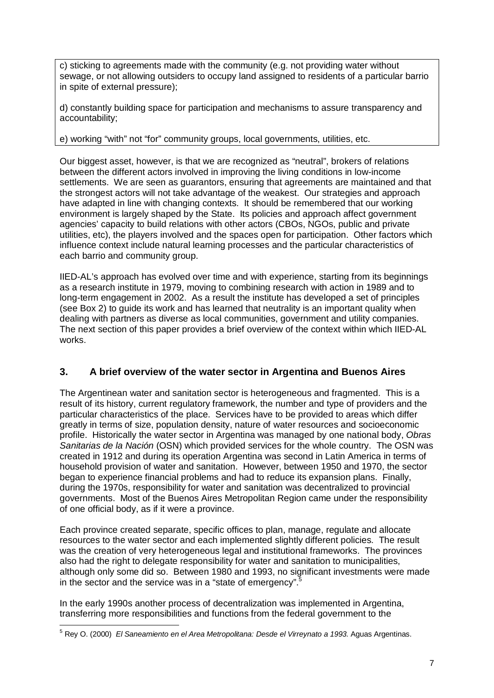c) sticking to agreements made with the community (e.g. not providing water without sewage, or not allowing outsiders to occupy land assigned to residents of a particular barrio in spite of external pressure);

d) constantly building space for participation and mechanisms to assure transparency and accountability;

e) working "with" not "for" community groups, local governments, utilities, etc.

Our biggest asset, however, is that we are recognized as "neutral", brokers of relations between the different actors involved in improving the living conditions in low-income settlements. We are seen as guarantors, ensuring that agreements are maintained and that the strongest actors will not take advantage of the weakest. Our strategies and approach have adapted in line with changing contexts. It should be remembered that our working environment is largely shaped by the State. Its policies and approach affect government agencies' capacity to build relations with other actors (CBOs, NGOs, public and private utilities, etc), the players involved and the spaces open for participation. Other factors which influence context include natural learning processes and the particular characteristics of each barrio and community group.

IIED-AL's approach has evolved over time and with experience, starting from its beginnings as a research institute in 1979, moving to combining research with action in 1989 and to long-term engagement in 2002. As a result the institute has developed a set of principles (see Box 2) to guide its work and has learned that neutrality is an important quality when dealing with partners as diverse as local communities, government and utility companies. The next section of this paper provides a brief overview of the context within which IIED-AL works.

# **3. A brief overview of the water sector in Argentina and Buenos Aires**

The Argentinean water and sanitation sector is heterogeneous and fragmented. This is a result of its history, current regulatory framework, the number and type of providers and the particular characteristics of the place. Services have to be provided to areas which differ greatly in terms of size, population density, nature of water resources and socioeconomic profile. Historically the water sector in Argentina was managed by one national body, *Obras Sanitarias de la Nación* (OSN) which provided services for the whole country. The OSN was created in 1912 and during its operation Argentina was second in Latin America in terms of household provision of water and sanitation. However, between 1950 and 1970, the sector began to experience financial problems and had to reduce its expansion plans. Finally, during the 1970s, responsibility for water and sanitation was decentralized to provincial governments. Most of the Buenos Aires Metropolitan Region came under the responsibility of one official body, as if it were a province.

Each province created separate, specific offices to plan, manage, regulate and allocate resources to the water sector and each implemented slightly different policies. The result was the creation of very heterogeneous legal and institutional frameworks. The provinces also had the right to delegate responsibility for water and sanitation to municipalities, although only some did so. Between 1980 and 1993, no significant investments were made in the sector and the service was in a "state of emergency".<sup>5</sup>

In the early 1990s another process of decentralization was implemented in Argentina, transferring more responsibilities and functions from the federal government to the

 5 Rey O. (2000) *El Saneamiento en el Area Metropolitana: Desde el Virreynato a 1993.* Aguas Argentinas.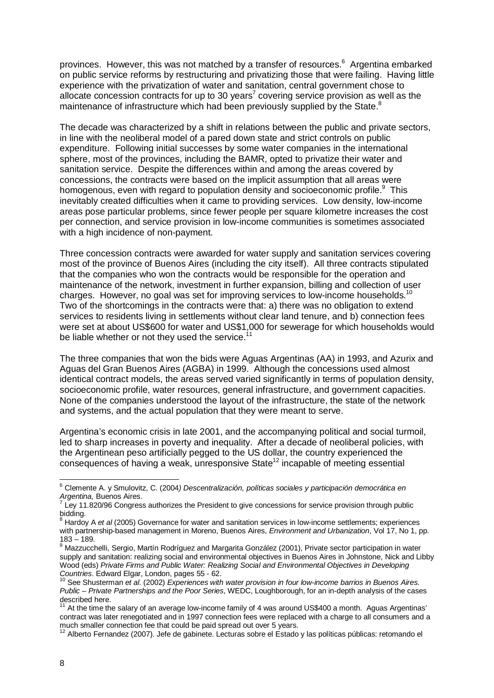provinces. However, this was not matched by a transfer of resources.<sup>6</sup> Argentina embarked on public service reforms by restructuring and privatizing those that were failing. Having little experience with the privatization of water and sanitation, central government chose to allocate concession contracts for up to 30 years<sup>7</sup> covering service provision as well as the maintenance of infrastructure which had been previously supplied by the State.<sup>8</sup>

The decade was characterized by a shift in relations between the public and private sectors, in line with the neoliberal model of a pared down state and strict controls on public expenditure. Following initial successes by some water companies in the international sphere, most of the provinces, including the BAMR, opted to privatize their water and sanitation service. Despite the differences within and among the areas covered by concessions, the contracts were based on the implicit assumption that all areas were homogenous, even with regard to population density and socioeconomic profile. $^9$  This inevitably created difficulties when it came to providing services. Low density, low-income areas pose particular problems, since fewer people per square kilometre increases the cost per connection, and service provision in low-income communities is sometimes associated with a high incidence of non-payment.

Three concession contracts were awarded for water supply and sanitation services covering most of the province of Buenos Aires (including the city itself). All three contracts stipulated that the companies who won the contracts would be responsible for the operation and maintenance of the network, investment in further expansion, billing and collection of user charges. However, no goal was set for improving services to low-income households.<sup>10</sup> Two of the shortcomings in the contracts were that: a) there was no obligation to extend services to residents living in settlements without clear land tenure, and b) connection fees were set at about US\$600 for water and US\$1,000 for sewerage for which households would be liable whether or not they used the service.<sup>11</sup>

The three companies that won the bids were Aguas Argentinas (AA) in 1993, and Azurix and Aguas del Gran Buenos Aires (AGBA) in 1999. Although the concessions used almost identical contract models, the areas served varied significantly in terms of population density, socioeconomic profile, water resources, general infrastructure, and government capacities. None of the companies understood the layout of the infrastructure, the state of the network and systems, and the actual population that they were meant to serve.

Argentina's economic crisis in late 2001, and the accompanying political and social turmoil, led to sharp increases in poverty and inequality. After a decade of neoliberal policies, with the Argentinean peso artificially pegged to the US dollar, the country experienced the  $\overline{\text{consequences of}}$  having a weak, unresponsive State<sup>12</sup> incapable of meeting essential

<sup>6</sup> Clemente A. y Smulovitz, C. (2004*) Descentralización, políticas sociales y participación democrática en Argentina,* Buenos Aires. 7

Ley 11.820/96 Congress authorizes the President to give concessions for service provision through public bidding.

<sup>8</sup> Hardoy A *et al* (2005) Governance for water and sanitation services in low-income settlements; experiences with partnership-based management in Moreno, Buenos Aires, *Environment and Urbanization*, Vol 17, No 1, pp. 183 – 189.

<sup>&</sup>lt;sup>9</sup> Mazzucchelli, Sergio, Martín Rodríguez and Margarita González (2001), Private sector participation in water supply and sanitation: realizing social and environmental objectives in Buenos Aires in Johnstone, Nick and Libby Wood (eds) *Private Firms and Public Water: Realizing Social and Environmental Objectives in Developing Countries*. Edward Elgar, London, pages 55 - 62.

See Shusterman et al. (2002) *Experiences with water provision in four low-income barrios in Buenos Aires. Public – Private Partnerships and the Poor Series*, WEDC, Loughborough, for an in-depth analysis of the cases described here.

 $11$  At the time the salary of an average low-income family of 4 was around US\$400 a month. Aguas Argentinas' contract was later renegotiated and in 1997 connection fees were replaced with a charge to all consumers and a much smaller connection fee that could be paid spread out over 5 years.

<sup>12</sup> Alberto Fernandez (2007). Jefe de gabinete. Lecturas sobre el Estado y las políticas públicas: retomando el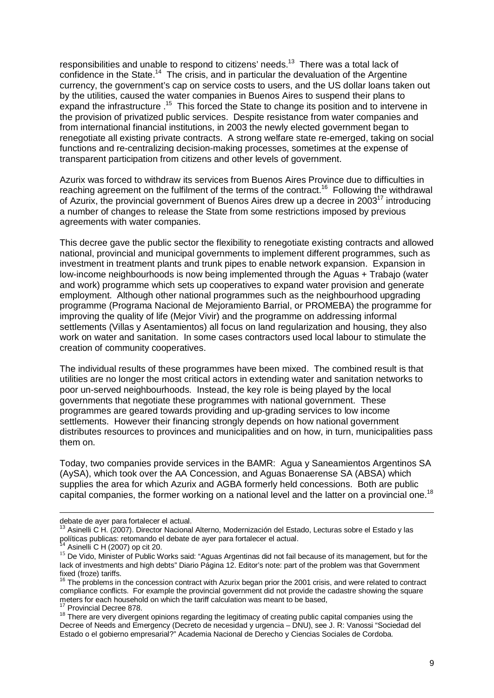responsibilities and unable to respond to citizens' needs.<sup>13</sup> There was a total lack of confidence in the State.<sup>14</sup> The crisis, and in particular the devaluation of the Argentine currency, the government's cap on service costs to users, and the US dollar loans taken out by the utilities, caused the water companies in Buenos Aires to suspend their plans to expand the infrastructure .<sup>15</sup> This forced the State to change its position and to intervene in the provision of privatized public services. Despite resistance from water companies and from international financial institutions, in 2003 the newly elected government began to renegotiate all existing private contracts. A strong welfare state re-emerged, taking on social functions and re-centralizing decision-making processes, sometimes at the expense of transparent participation from citizens and other levels of government.

Azurix was forced to withdraw its services from Buenos Aires Province due to difficulties in reaching agreement on the fulfilment of the terms of the contract.<sup>16</sup> Following the withdrawal of Azurix, the provincial government of Buenos Aires drew up a decree in 2003<sup>17</sup> introducing a number of changes to release the State from some restrictions imposed by previous agreements with water companies.

This decree gave the public sector the flexibility to renegotiate existing contracts and allowed national, provincial and municipal governments to implement different programmes, such as investment in treatment plants and trunk pipes to enable network expansion. Expansion in low-income neighbourhoods is now being implemented through the Aguas + Trabajo (water and work) programme which sets up cooperatives to expand water provision and generate employment. Although other national programmes such as the neighbourhood upgrading programme (Programa Nacional de Mejoramiento Barrial, or PROMEBA) the programme for improving the quality of life (Mejor Vivir) and the programme on addressing informal settlements (Villas y Asentamientos) all focus on land regularization and housing, they also work on water and sanitation. In some cases contractors used local labour to stimulate the creation of community cooperatives.

The individual results of these programmes have been mixed. The combined result is that utilities are no longer the most critical actors in extending water and sanitation networks to poor un-served neighbourhoods. Instead, the key role is being played by the local governments that negotiate these programmes with national government. These programmes are geared towards providing and up-grading services to low income settlements. However their financing strongly depends on how national government distributes resources to provinces and municipalities and on how, in turn, municipalities pass them on.

Today, two companies provide services in the BAMR: Agua y Saneamientos Argentinos SA (AySA), which took over the AA Concession, and Aguas Bonaerense SA (ABSA) which supplies the area for which Azurix and AGBA formerly held concessions. Both are public capital companies, the former working on a national level and the latter on a provincial one.<sup>18</sup>

debate de ayer para fortalecer el actual.

<sup>&</sup>lt;sup>13</sup> Asinelli C H. (2007). Director Nacional Alterno, Modernización del Estado, Lecturas sobre el Estado y las políticas publicas: retomando el debate de ayer para fortalecer el actual.

Asinelli C H (2007) op cit 20.

<sup>15</sup> De Vido, Minister of Public Works said: "Aguas Argentinas did not fail because of its management, but for the lack of investments and high debts" Diario Página 12. Editor's note: part of the problem was that Government fixed (froze) tariffs.

The problems in the concession contract with Azurix began prior the 2001 crisis, and were related to contract compliance conflicts. For example the provincial government did not provide the cadastre showing the square meters for each household on which the tariff calculation was meant to be based,

<sup>&</sup>lt;sup>17</sup> Provincial Decree 878.

<sup>&</sup>lt;sup>18</sup> There are very divergent opinions regarding the legitimacy of creating public capital companies using the Decree of Needs and Emergency (Decreto de necesidad y urgencia – DNU), see J. R: Vanossi "Sociedad del Estado o el gobierno empresarial?" Academia Nacional de Derecho y Ciencias Sociales de Cordoba.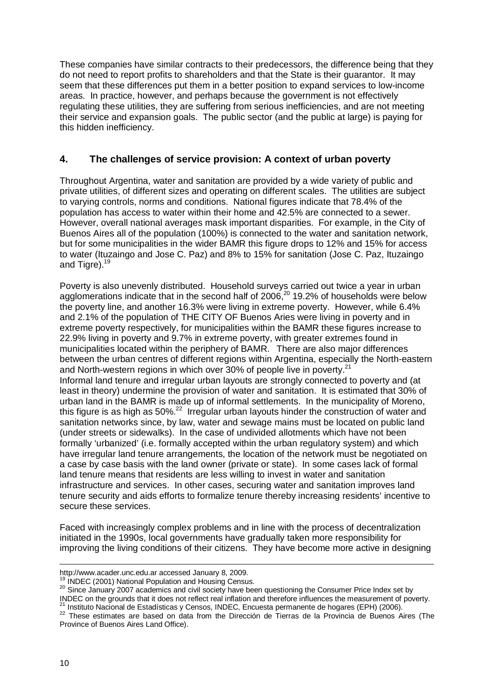These companies have similar contracts to their predecessors, the difference being that they do not need to report profits to shareholders and that the State is their guarantor. It may seem that these differences put them in a better position to expand services to low-income areas. In practice, however, and perhaps because the government is not effectively regulating these utilities, they are suffering from serious inefficiencies, and are not meeting their service and expansion goals. The public sector (and the public at large) is paying for this hidden inefficiency.

# **4. The challenges of service provision: A context of urban poverty**

Throughout Argentina, water and sanitation are provided by a wide variety of public and private utilities, of different sizes and operating on different scales. The utilities are subject to varying controls, norms and conditions. National figures indicate that 78.4% of the population has access to water within their home and 42.5% are connected to a sewer. However, overall national averages mask important disparities. For example, in the City of Buenos Aires all of the population (100%) is connected to the water and sanitation network, but for some municipalities in the wider BAMR this figure drops to 12% and 15% for access to water (Ituzaingo and Jose C. Paz) and 8% to 15% for sanitation (Jose C. Paz, Ituzaingo and Tigre).<sup>19</sup>

Poverty is also unevenly distributed. Household surveys carried out twice a year in urban agglomerations indicate that in the second half of  $2006$ ,<sup>20</sup> 19.2% of households were below the poverty line, and another 16.3% were living in extreme poverty. However, while 6.4% and 2.1% of the population of THE CITY OF Buenos Aries were living in poverty and in extreme poverty respectively, for municipalities within the BAMR these figures increase to 22.9% living in poverty and 9.7% in extreme poverty, with greater extremes found in municipalities located within the periphery of BAMR. There are also major differences between the urban centres of different regions within Argentina, especially the North-eastern and North-western regions in which over 30% of people live in poverty.<sup>21</sup> Informal land tenure and irregular urban layouts are strongly connected to poverty and (at least in theory) undermine the provision of water and sanitation. It is estimated that 30% of urban land in the BAMR is made up of informal settlements. In the municipality of Moreno, this figure is as high as 50%.<sup>22</sup> Irregular urban layouts hinder the construction of water and sanitation networks since, by law, water and sewage mains must be located on public land (under streets or sidewalks). In the case of undivided allotments which have not been formally 'urbanized' (i.e. formally accepted within the urban regulatory system) and which have irregular land tenure arrangements, the location of the network must be negotiated on a case by case basis with the land owner (private or state). In some cases lack of formal land tenure means that residents are less willing to invest in water and sanitation infrastructure and services. In other cases, securing water and sanitation improves land tenure security and aids efforts to formalize tenure thereby increasing residents' incentive to secure these services.

Faced with increasingly complex problems and in line with the process of decentralization initiated in the 1990s, local governments have gradually taken more responsibility for improving the living conditions of their citizens. They have become more active in designing

http://www.acader.unc.edu.ar accessed January 8, 2009.

 $19 \overline{)}$  INDEC (2001) National Population and Housing Census.

<sup>&</sup>lt;sup>20</sup> Since January 2007 academics and civil society have been questioning the Consumer Price Index set by INDEC on the grounds that it does not reflect real inflation and therefore influences the measurement of poverty.

<sup>&</sup>lt;sup>1</sup> Instituto Nacional de Estadísticas y Censos, INDEC, Encuesta permanente de hogares (EPH) (2006).

<sup>22</sup> These estimates are based on data from the Dirección de Tierras de la Provincia de Buenos Aires (The Province of Buenos Aires Land Office).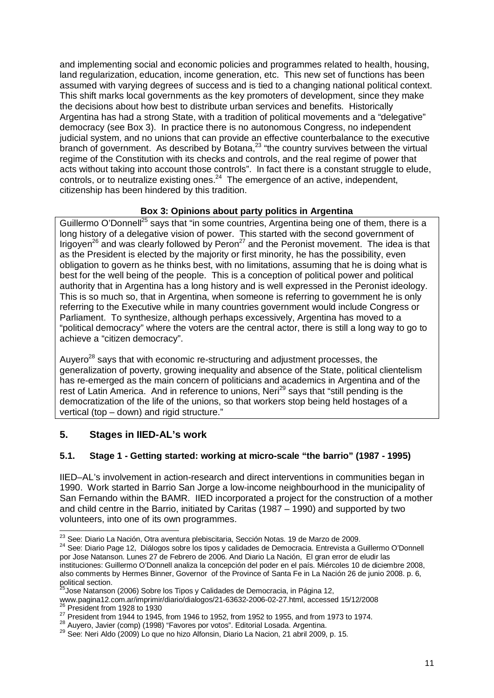and implementing social and economic policies and programmes related to health, housing, land regularization, education, income generation, etc. This new set of functions has been assumed with varying degrees of success and is tied to a changing national political context. This shift marks local governments as the key promoters of development, since they make the decisions about how best to distribute urban services and benefits. Historically Argentina has had a strong State, with a tradition of political movements and a "delegative" democracy (see Box 3). In practice there is no autonomous Congress, no independent judicial system, and no unions that can provide an effective counterbalance to the executive  $\overline{b}$  branch of government. As described by Botana,<sup>23</sup> "the country survives between the virtual regime of the Constitution with its checks and controls, and the real regime of power that acts without taking into account those controls". In fact there is a constant struggle to elude, controls, or to neutralize existing ones.<sup>24</sup> The emergence of an active, independent, citizenship has been hindered by this tradition.

# **Box 3: Opinions about party politics in Argentina**

Guillermo O'Donnell<sup>25</sup> says that "in some countries, Argentina being one of them, there is a long history of a delegative vision of power. This started with the second government of Irigoyen<sup>26</sup> and was clearly followed by Peron<sup>27</sup> and the Peronist movement. The idea is that as the President is elected by the majority or first minority, he has the possibility, even obligation to govern as he thinks best, with no limitations, assuming that he is doing what is best for the well being of the people. This is a conception of political power and political authority that in Argentina has a long history and is well expressed in the Peronist ideology. This is so much so, that in Argentina, when someone is referring to government he is only referring to the Executive while in many countries government would include Congress or Parliament. To synthesize, although perhaps excessively, Argentina has moved to a "political democracy" where the voters are the central actor, there is still a long way to go to achieve a "citizen democracy".

Auvero<sup>28</sup> says that with economic re-structuring and adjustment processes, the generalization of poverty, growing inequality and absence of the State, political clientelism has re-emerged as the main concern of politicians and academics in Argentina and of the rest of Latin America. And in reference to unions, Neri<sup>29</sup> says that "still pending is the democratization of the life of the unions, so that workers stop being held hostages of a vertical (top – down) and rigid structure."

# **5. Stages in IIED-AL's work**

# **5.1. Stage 1 - Getting started: working at micro-scale "the barrio" (1987 - 1995)**

IIED–AL's involvement in action-research and direct interventions in communities began in 1990. Work started in Barrio San Jorge a low-income neighbourhood in the municipality of San Fernando within the BAMR. IIED incorporated a project for the construction of a mother and child centre in the Barrio, initiated by Caritas (1987 – 1990) and supported by two volunteers, into one of its own programmes.

 $\overline{\phantom{a}}$  $^{23}$  See: Diario La Nación, Otra aventura plebiscitaria, Sección Notas. 19 de Marzo de 2009.

<sup>24</sup> See: Diario Page 12, Diálogos sobre los tipos y calidades de Democracia. Entrevista a Guillermo O'Donnell por Jose Natanson. Lunes 27 de Febrero de 2006. And Diario La Nación, El gran error de eludir las instituciones: Guillermo O'Donnell analiza la concepción del poder en el país. Miércoles 10 de diciembre 2008, also comments by Hermes Binner, Governor of the Province of Santa Fe in La Nación 26 de junio 2008. p. 6, political section.

<sup>&</sup>lt;sup>25</sup>Jose Natanson (2006) Sobre los Tipos y Calidades de Democracia, in Página 12,

www.pagina12.com.ar/imprimir/diario/dialogos/21-63632-2006-02-27.html, accessed 15/12/2008  $26$  President from 1928 to 1930

 $27$  President from 1944 to 1945, from 1946 to 1952, from 1952 to 1955, and from 1973 to 1974.

<sup>28</sup> Auyero, Javier (comp) (1998) "Favores por votos". Editorial Losada. Argentina.

<sup>29</sup> See: Neri Aldo (2009) Lo que no hizo Alfonsin, Diario La Nacion, 21 abril 2009, p. 15.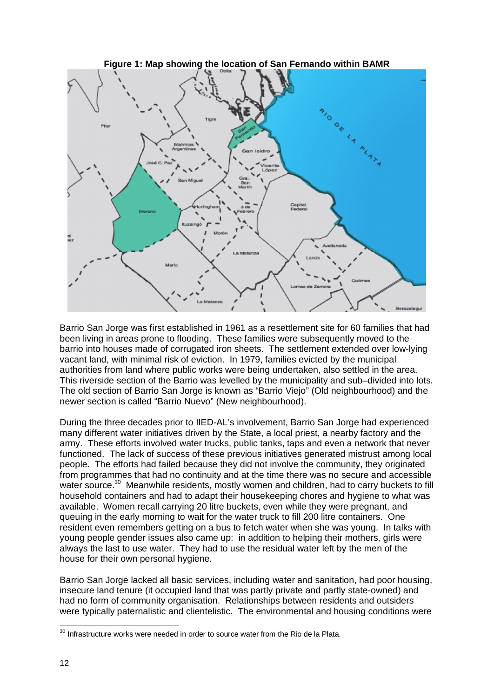

Barrio San Jorge was first established in 1961 as a resettlement site for 60 families that had been living in areas prone to flooding. These families were subsequently moved to the barrio into houses made of corrugated iron sheets. The settlement extended over low-lying vacant land, with minimal risk of eviction. In 1979, families evicted by the municipal authorities from land where public works were being undertaken, also settled in the area. This riverside section of the Barrio was levelled by the municipality and sub–divided into lots. The old section of Barrio San Jorge is known as "Barrio Viejo" (Old neighbourhood) and the newer section is called "Barrio Nuevo" (New neighbourhood).

During the three decades prior to IIED-AL's involvement, Barrio San Jorge had experienced many different water initiatives driven by the State, a local priest, a nearby factory and the army. These efforts involved water trucks, public tanks, taps and even a network that never functioned. The lack of success of these previous initiatives generated mistrust among local people. The efforts had failed because they did not involve the community, they originated from programmes that had no continuity and at the time there was no secure and accessible water source.<sup>30</sup> Meanwhile residents, mostly women and children, had to carry buckets to fill household containers and had to adapt their housekeeping chores and hygiene to what was available. Women recall carrying 20 litre buckets, even while they were pregnant, and queuing in the early morning to wait for the water truck to fill 200 litre containers. One resident even remembers getting on a bus to fetch water when she was young. In talks with young people gender issues also came up: in addition to helping their mothers, girls were always the last to use water. They had to use the residual water left by the men of the house for their own personal hygiene.

Barrio San Jorge lacked all basic services, including water and sanitation, had poor housing, insecure land tenure (it occupied land that was partly private and partly state-owned) and had no form of community organisation. Relationships between residents and outsiders were typically paternalistic and clientelistic. The environmental and housing conditions were

 $\overline{a}$  $30$  Infrastructure works were needed in order to source water from the Rio de la Plata.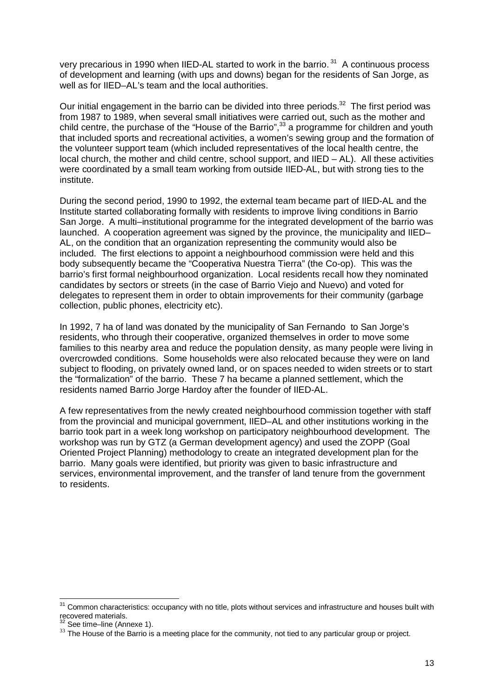very precarious in 1990 when IIED-AL started to work in the barrio.<sup>31</sup> A continuous process of development and learning (with ups and downs) began for the residents of San Jorge, as well as for IIED–AL's team and the local authorities.

Our initial engagement in the barrio can be divided into three periods. $32$  The first period was from 1987 to 1989, when several small initiatives were carried out, such as the mother and child centre, the purchase of the "House of the Barrio", $33$  a programme for children and youth that included sports and recreational activities, a women's sewing group and the formation of the volunteer support team (which included representatives of the local health centre, the local church, the mother and child centre, school support, and IIED – AL). All these activities were coordinated by a small team working from outside IIED-AL, but with strong ties to the institute.

During the second period, 1990 to 1992, the external team became part of IIED-AL and the Institute started collaborating formally with residents to improve living conditions in Barrio San Jorge. A multi–institutional programme for the integrated development of the barrio was launched. A cooperation agreement was signed by the province, the municipality and IIED– AL, on the condition that an organization representing the community would also be included. The first elections to appoint a neighbourhood commission were held and this body subsequently became the "Cooperativa Nuestra Tierra" (the Co-op). This was the barrio's first formal neighbourhood organization. Local residents recall how they nominated candidates by sectors or streets (in the case of Barrio Viejo and Nuevo) and voted for delegates to represent them in order to obtain improvements for their community (garbage collection, public phones, electricity etc).

In 1992, 7 ha of land was donated by the municipality of San Fernando to San Jorge's residents, who through their cooperative, organized themselves in order to move some families to this nearby area and reduce the population density, as many people were living in overcrowded conditions. Some households were also relocated because they were on land subject to flooding, on privately owned land, or on spaces needed to widen streets or to start the "formalization" of the barrio. These 7 ha became a planned settlement, which the residents named Barrio Jorge Hardoy after the founder of IIED-AL.

A few representatives from the newly created neighbourhood commission together with staff from the provincial and municipal government, IIED–AL and other institutions working in the barrio took part in a week long workshop on participatory neighbourhood development. The workshop was run by GTZ (a German development agency) and used the ZOPP (Goal Oriented Project Planning) methodology to create an integrated development plan for the barrio. Many goals were identified, but priority was given to basic infrastructure and services, environmental improvement, and the transfer of land tenure from the government to residents.

 $\overline{\phantom{a}}$  $31$  Common characteristics: occupancy with no title, plots without services and infrastructure and houses built with recovered materials.

<sup>&</sup>lt;sup>32</sup> See time–line (Annexe 1).

<sup>&</sup>lt;sup>33</sup> The House of the Barrio is a meeting place for the community, not tied to any particular group or project.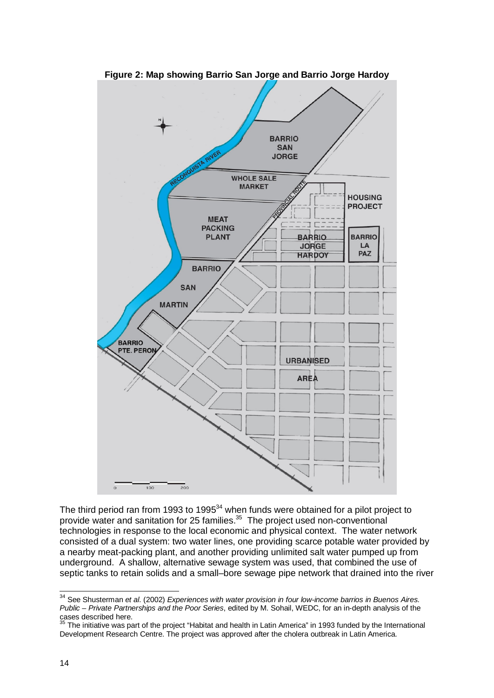

The third period ran from 1993 to 1995 $^{34}$  when funds were obtained for a pilot project to provide water and sanitation for 25 families.<sup>35</sup> The project used non-conventional technologies in response to the local economic and physical context. The water network consisted of a dual system: two water lines, one providing scarce potable water provided by a nearby meat-packing plant, and another providing unlimited salt water pumped up from underground. A shallow, alternative sewage system was used, that combined the use of septic tanks to retain solids and a small–bore sewage pipe network that drained into the river

<sup>34</sup> See Shusterman *et al*. (2002) *Experiences with water provision in four low-income barrios in Buenos Aires. Public – Private Partnerships and the Poor Series*, edited by M. Sohail, WEDC, for an in-depth analysis of the cases described here.

 $35$  The initiative was part of the project "Habitat and health in Latin America" in 1993 funded by the International Development Research Centre. The project was approved after the cholera outbreak in Latin America.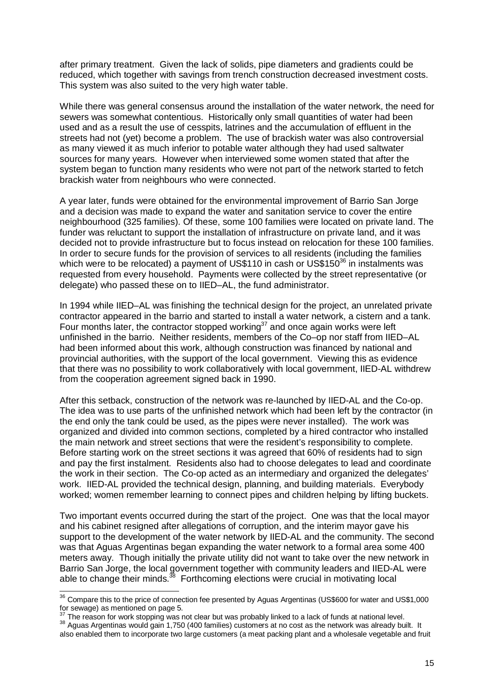after primary treatment. Given the lack of solids, pipe diameters and gradients could be reduced, which together with savings from trench construction decreased investment costs. This system was also suited to the very high water table.

While there was general consensus around the installation of the water network, the need for sewers was somewhat contentious. Historically only small quantities of water had been used and as a result the use of cesspits, latrines and the accumulation of effluent in the streets had not (yet) become a problem. The use of brackish water was also controversial as many viewed it as much inferior to potable water although they had used saltwater sources for many years. However when interviewed some women stated that after the system began to function many residents who were not part of the network started to fetch brackish water from neighbours who were connected.

A year later, funds were obtained for the environmental improvement of Barrio San Jorge and a decision was made to expand the water and sanitation service to cover the entire neighbourhood (325 families). Of these, some 100 families were located on private land. The funder was reluctant to support the installation of infrastructure on private land, and it was decided not to provide infrastructure but to focus instead on relocation for these 100 families. In order to secure funds for the provision of services to all residents (including the families which were to be relocated) a payment of US\$110 in cash or US\$150 $36$  in instalments was requested from every household. Payments were collected by the street representative (or delegate) who passed these on to IIED–AL, the fund administrator.

In 1994 while IIED–AL was finishing the technical design for the project, an unrelated private contractor appeared in the barrio and started to install a water network, a cistern and a tank. Four months later, the contractor stopped working<sup>37</sup> and once again works were left unfinished in the barrio. Neither residents, members of the Co–op nor staff from IIED–AL had been informed about this work, although construction was financed by national and provincial authorities, with the support of the local government. Viewing this as evidence that there was no possibility to work collaboratively with local government, IIED-AL withdrew from the cooperation agreement signed back in 1990.

After this setback, construction of the network was re-launched by IIED-AL and the Co-op. The idea was to use parts of the unfinished network which had been left by the contractor (in the end only the tank could be used, as the pipes were never installed). The work was organized and divided into common sections, completed by a hired contractor who installed the main network and street sections that were the resident's responsibility to complete. Before starting work on the street sections it was agreed that 60% of residents had to sign and pay the first instalment. Residents also had to choose delegates to lead and coordinate the work in their section. The Co-op acted as an intermediary and organized the delegates' work. IIED-AL provided the technical design, planning, and building materials. Everybody worked; women remember learning to connect pipes and children helping by lifting buckets.

Two important events occurred during the start of the project. One was that the local mayor and his cabinet resigned after allegations of corruption, and the interim mayor gave his support to the development of the water network by IIED-AL and the community. The second was that Aguas Argentinas began expanding the water network to a formal area some 400 meters away. Though initially the private utility did not want to take over the new network in Barrio San Jorge, the local government together with community leaders and IIED-AL were able to change their minds. $^{38}$  Forthcoming elections were crucial in motivating local

 $36$  Compare this to the price of connection fee presented by Aguas Argentinas (US\$600 for water and US\$1,000 for sewage) as mentioned on page 5.<br>
<sup>37</sup> The second is

The reason for work stopping was not clear but was probably linked to a lack of funds at national level.

<sup>38</sup> Aguas Argentinas would gain 1,750 (400 families) customers at no cost as the network was already built. It also enabled them to incorporate two large customers (a meat packing plant and a wholesale vegetable and fruit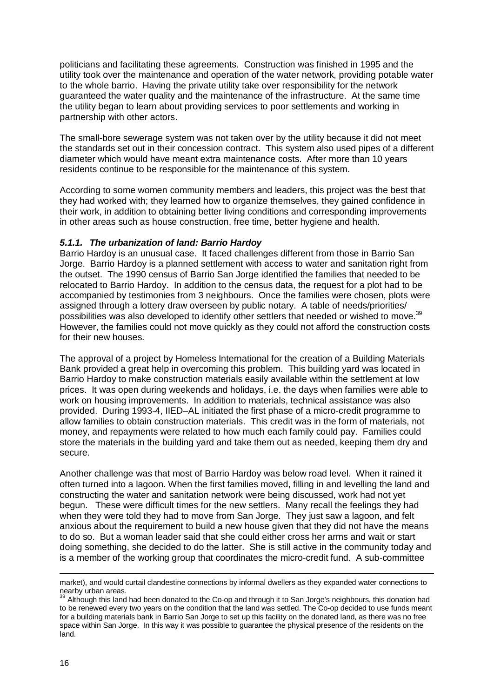politicians and facilitating these agreements. Construction was finished in 1995 and the utility took over the maintenance and operation of the water network, providing potable water to the whole barrio. Having the private utility take over responsibility for the network guaranteed the water quality and the maintenance of the infrastructure. At the same time the utility began to learn about providing services to poor settlements and working in partnership with other actors.

The small-bore sewerage system was not taken over by the utility because it did not meet the standards set out in their concession contract. This system also used pipes of a different diameter which would have meant extra maintenance costs. After more than 10 years residents continue to be responsible for the maintenance of this system.

According to some women community members and leaders, this project was the best that they had worked with; they learned how to organize themselves, they gained confidence in their work, in addition to obtaining better living conditions and corresponding improvements in other areas such as house construction, free time, better hygiene and health.

# *5.1.1. The urbanization of land: Barrio Hardoy*

Barrio Hardoy is an unusual case. It faced challenges different from those in Barrio San Jorge. Barrio Hardoy is a planned settlement with access to water and sanitation right from the outset. The 1990 census of Barrio San Jorge identified the families that needed to be relocated to Barrio Hardoy. In addition to the census data, the request for a plot had to be accompanied by testimonies from 3 neighbours. Once the families were chosen, plots were assigned through a lottery draw overseen by public notary. A table of needs/priorities/ possibilities was also developed to identify other settlers that needed or wished to move.<sup>39</sup> However, the families could not move quickly as they could not afford the construction costs for their new houses.

The approval of a project by Homeless International for the creation of a Building Materials Bank provided a great help in overcoming this problem. This building yard was located in Barrio Hardoy to make construction materials easily available within the settlement at low prices. It was open during weekends and holidays, i.e. the days when families were able to work on housing improvements. In addition to materials, technical assistance was also provided. During 1993-4, IIED–AL initiated the first phase of a micro-credit programme to allow families to obtain construction materials. This credit was in the form of materials, not money, and repayments were related to how much each family could pay. Families could store the materials in the building yard and take them out as needed, keeping them dry and secure.

Another challenge was that most of Barrio Hardoy was below road level. When it rained it often turned into a lagoon. When the first families moved, filling in and levelling the land and constructing the water and sanitation network were being discussed, work had not yet begun. These were difficult times for the new settlers. Many recall the feelings they had when they were told they had to move from San Jorge. They just saw a lagoon, and felt anxious about the requirement to build a new house given that they did not have the means to do so. But a woman leader said that she could either cross her arms and wait or start doing something, she decided to do the latter. She is still active in the community today and is a member of the working group that coordinates the micro-credit fund. A sub-committee

 $\overline{a}$ market), and would curtail clandestine connections by informal dwellers as they expanded water connections to nearby urban areas.

 $39$  Although this land had been donated to the Co-op and through it to San Jorge's neighbours, this donation had to be renewed every two years on the condition that the land was settled. The Co-op decided to use funds meant for a building materials bank in Barrio San Jorge to set up this facility on the donated land, as there was no free space within San Jorge. In this way it was possible to guarantee the physical presence of the residents on the land.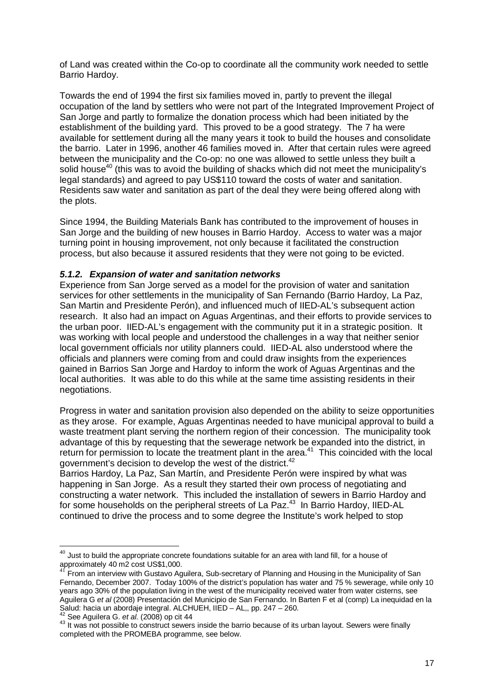of Land was created within the Co-op to coordinate all the community work needed to settle Barrio Hardoy.

Towards the end of 1994 the first six families moved in, partly to prevent the illegal occupation of the land by settlers who were not part of the Integrated Improvement Project of San Jorge and partly to formalize the donation process which had been initiated by the establishment of the building yard. This proved to be a good strategy. The 7 ha were available for settlement during all the many years it took to build the houses and consolidate the barrio. Later in 1996, another 46 families moved in. After that certain rules were agreed between the municipality and the Co-op: no one was allowed to settle unless they built a solid house<sup>40</sup> (this was to avoid the building of shacks which did not meet the municipality's legal standards) and agreed to pay US\$110 toward the costs of water and sanitation. Residents saw water and sanitation as part of the deal they were being offered along with the plots.

Since 1994, the Building Materials Bank has contributed to the improvement of houses in San Jorge and the building of new houses in Barrio Hardoy. Access to water was a major turning point in housing improvement, not only because it facilitated the construction process, but also because it assured residents that they were not going to be evicted.

#### *5.1.2. Expansion of water and sanitation networks*

Experience from San Jorge served as a model for the provision of water and sanitation services for other settlements in the municipality of San Fernando (Barrio Hardoy, La Paz, San Martin and Presidente Perón), and influenced much of IIED-AL's subsequent action research. It also had an impact on Aguas Argentinas, and their efforts to provide services to the urban poor. IIED-AL's engagement with the community put it in a strategic position. It was working with local people and understood the challenges in a way that neither senior local government officials nor utility planners could. IIED-AL also understood where the officials and planners were coming from and could draw insights from the experiences gained in Barrios San Jorge and Hardoy to inform the work of Aguas Argentinas and the local authorities. It was able to do this while at the same time assisting residents in their negotiations.

Progress in water and sanitation provision also depended on the ability to seize opportunities as they arose. For example, Aguas Argentinas needed to have municipal approval to build a waste treatment plant serving the northern region of their concession. The municipality took advantage of this by requesting that the sewerage network be expanded into the district, in return for permission to locate the treatment plant in the area.<sup>41</sup> This coincided with the local government's decision to develop the west of the district.<sup>42</sup>

Barrios Hardoy, La Paz, San Martín, and Presidente Perón were inspired by what was happening in San Jorge. As a result they started their own process of negotiating and constructing a water network. This included the installation of sewers in Barrio Hardoy and for some households on the peripheral streets of La Paz.<sup>43</sup> In Barrio Hardoy, IIED-AL continued to drive the process and to some degree the Institute's work helped to stop

<sup>42</sup> See Aguilera G. *et al*. (2008) op cit 44

 $^{40}$  Just to build the appropriate concrete foundations suitable for an area with land fill, for a house of approximately 40 m2 cost US\$1,000.

 $41$  From an interview with Gustavo Aguilera, Sub-secretary of Planning and Housing in the Municipality of San Fernando, December 2007. Today 100% of the district's population has water and 75 % sewerage, while only 10 years ago 30% of the population living in the west of the municipality received water from water cisterns, see Aguilera G *et al* (2008) Presentación del Municipio de San Fernando. In Barten F et al (comp) La inequidad en la Salud: hacia un abordaje integral. ALCHUEH, IIED – AL,, pp. 247 – 260.

<sup>43</sup> It was not possible to construct sewers inside the barrio because of its urban layout. Sewers were finally completed with the PROMEBA programme, see below.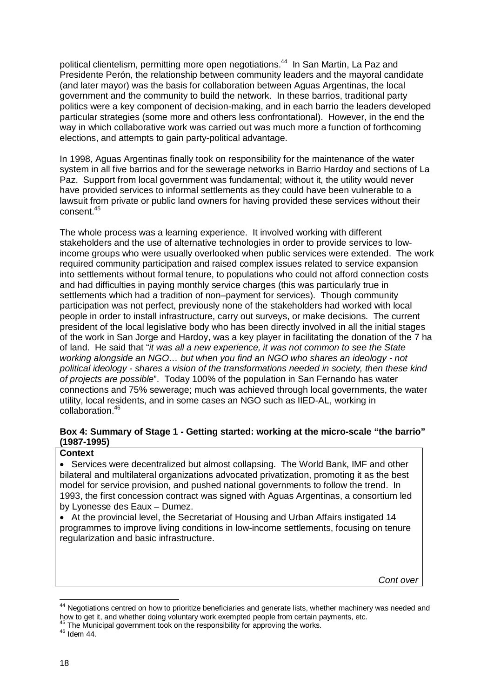political clientelism, permitting more open negotiations.<sup>44</sup> In San Martin, La Paz and Presidente Perón, the relationship between community leaders and the mayoral candidate (and later mayor) was the basis for collaboration between Aguas Argentinas, the local government and the community to build the network. In these barrios, traditional party politics were a key component of decision-making, and in each barrio the leaders developed particular strategies (some more and others less confrontational). However, in the end the way in which collaborative work was carried out was much more a function of forthcoming elections, and attempts to gain party-political advantage.

In 1998, Aguas Argentinas finally took on responsibility for the maintenance of the water system in all five barrios and for the sewerage networks in Barrio Hardoy and sections of La Paz. Support from local government was fundamental; without it, the utility would never have provided services to informal settlements as they could have been vulnerable to a lawsuit from private or public land owners for having provided these services without their consent.<sup>45</sup>

The whole process was a learning experience. It involved working with different stakeholders and the use of alternative technologies in order to provide services to lowincome groups who were usually overlooked when public services were extended. The work required community participation and raised complex issues related to service expansion into settlements without formal tenure, to populations who could not afford connection costs and had difficulties in paying monthly service charges (this was particularly true in settlements which had a tradition of non–payment for services). Though community participation was not perfect, previously none of the stakeholders had worked with local people in order to install infrastructure, carry out surveys, or make decisions. The current president of the local legislative body who has been directly involved in all the initial stages of the work in San Jorge and Hardoy, was a key player in facilitating the donation of the 7 ha of land. He said that "*it was all a new experience, it was not common to see the State working alongside an NGO… but when you find an NGO who shares an ideology - not political ideology - shares a vision of the transformations needed in society, then these kind of projects are possible*". Today 100% of the population in San Fernando has water connections and 75% sewerage; much was achieved through local governments, the water utility, local residents, and in some cases an NGO such as IIED-AL, working in collaboration.<sup>46</sup>

#### **Box 4: Summary of Stage 1 - Getting started: working at the micro-scale "the barrio" (1987-1995)**

#### **Context**

• Services were decentralized but almost collapsing. The World Bank, IMF and other bilateral and multilateral organizations advocated privatization, promoting it as the best model for service provision, and pushed national governments to follow the trend. In 1993, the first concession contract was signed with Aguas Argentinas, a consortium led by Lyonesse des Eaux – Dumez.

 At the provincial level, the Secretariat of Housing and Urban Affairs instigated 14 programmes to improve living conditions in low-income settlements, focusing on tenure regularization and basic infrastructure.

*Cont over* 

 $\overline{\phantom{a}}$ <sup>44</sup> Negotiations centred on how to prioritize beneficiaries and generate lists, whether machinery was needed and how to get it, and whether doing voluntary work exempted people from certain payments, etc.

 $45$  The Municipal government took on the responsibility for approving the works.

 $46$  Idem 44.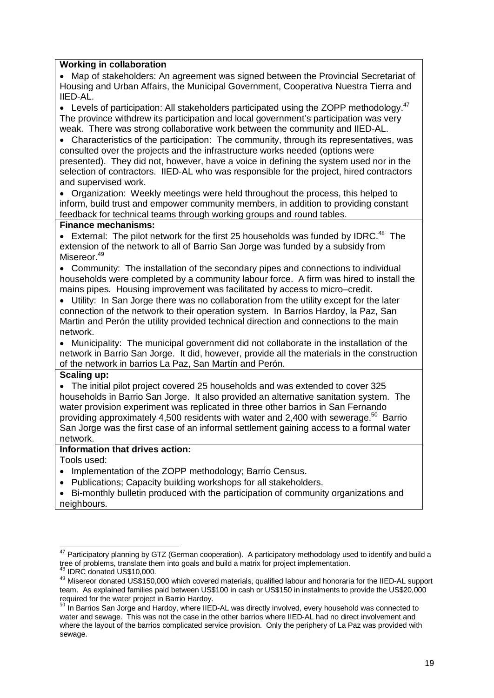#### **Working in collaboration**

 Map of stakeholders: An agreement was signed between the Provincial Secretariat of Housing and Urban Affairs, the Municipal Government, Cooperativa Nuestra Tierra and IIED-AL.

 $\bullet$  Levels of participation: All stakeholders participated using the ZOPP methodology.<sup>47</sup> The province withdrew its participation and local government's participation was very weak. There was strong collaborative work between the community and IIED-AL.

 Characteristics of the participation: The community, through its representatives, was consulted over the projects and the infrastructure works needed (options were presented). They did not, however, have a voice in defining the system used nor in the selection of contractors. IIED-AL who was responsible for the project, hired contractors and supervised work.

 Organization: Weekly meetings were held throughout the process, this helped to inform, build trust and empower community members, in addition to providing constant feedback for technical teams through working groups and round tables.

#### **Finance mechanisms:**

External: The pilot network for the first 25 households was funded by IDRC.<sup>48</sup> The extension of the network to all of Barrio San Jorge was funded by a subsidy from Misereor.<sup>49</sup>

 Community: The installation of the secondary pipes and connections to individual households were completed by a community labour force. A firm was hired to install the mains pipes. Housing improvement was facilitated by access to micro–credit.

 Utility: In San Jorge there was no collaboration from the utility except for the later connection of the network to their operation system. In Barrios Hardoy, la Paz, San Martin and Perón the utility provided technical direction and connections to the main network.

 Municipality: The municipal government did not collaborate in the installation of the network in Barrio San Jorge. It did, however, provide all the materials in the construction of the network in barrios La Paz, San Martín and Perón.

#### **Scaling up:**

 The initial pilot project covered 25 households and was extended to cover 325 households in Barrio San Jorge. It also provided an alternative sanitation system. The water provision experiment was replicated in three other barrios in San Fernando providing approximately 4,500 residents with water and 2,400 with sewerage.<sup>50</sup> Barrio San Jorge was the first case of an informal settlement gaining access to a formal water network.

#### **Information that drives action:**

Tools used:

- Implementation of the ZOPP methodology; Barrio Census.
- Publications; Capacity building workshops for all stakeholders.
- Bi-monthly bulletin produced with the participation of community organizations and neighbours.

 $\overline{1}$  $47$  Participatory planning by GTZ (German cooperation). A participatory methodology used to identify and build a tree of problems, translate them into goals and build a matrix for project implementation. IDRC donated US\$10,000.

<sup>49</sup> Misereor donated US\$150,000 which covered materials, qualified labour and honoraria for the IIED-AL support team. As explained families paid between US\$100 in cash or US\$150 in instalments to provide the US\$20,000 required for the water project in Barrio Hardoy.

 $50$  In Barrios San Jorge and Hardoy, where IIED-AL was directly involved, every household was connected to water and sewage. This was not the case in the other barrios where IIED-AL had no direct involvement and where the layout of the barrios complicated service provision. Only the periphery of La Paz was provided with sewage.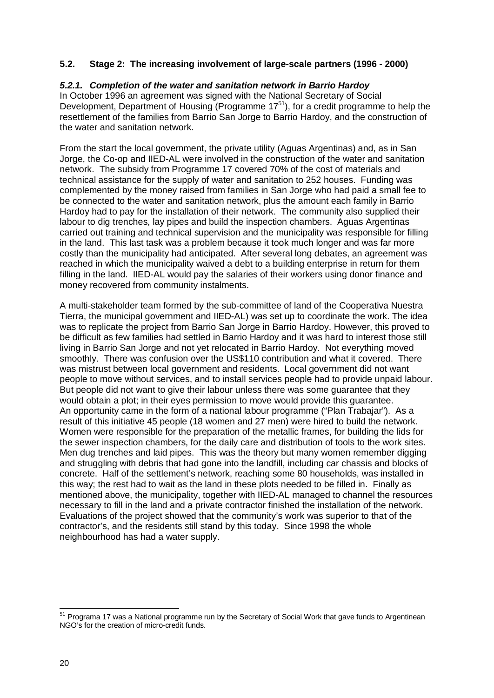# **5.2. Stage 2: The increasing involvement of large-scale partners (1996 - 2000)**

#### *5.2.1. Completion of the water and sanitation network in Barrio Hardoy*

In October 1996 an agreement was signed with the National Secretary of Social Development, Department of Housing (Programme  $17^{51}$ ), for a credit programme to help the resettlement of the families from Barrio San Jorge to Barrio Hardoy, and the construction of the water and sanitation network.

From the start the local government, the private utility (Aguas Argentinas) and, as in San Jorge, the Co-op and IIED-AL were involved in the construction of the water and sanitation network. The subsidy from Programme 17 covered 70% of the cost of materials and technical assistance for the supply of water and sanitation to 252 houses. Funding was complemented by the money raised from families in San Jorge who had paid a small fee to be connected to the water and sanitation network, plus the amount each family in Barrio Hardoy had to pay for the installation of their network. The community also supplied their labour to dig trenches, lay pipes and build the inspection chambers. Aguas Argentinas carried out training and technical supervision and the municipality was responsible for filling in the land. This last task was a problem because it took much longer and was far more costly than the municipality had anticipated. After several long debates, an agreement was reached in which the municipality waived a debt to a building enterprise in return for them filling in the land. IIED-AL would pay the salaries of their workers using donor finance and money recovered from community instalments.

A multi-stakeholder team formed by the sub-committee of land of the Cooperativa Nuestra Tierra, the municipal government and IIED-AL) was set up to coordinate the work. The idea was to replicate the project from Barrio San Jorge in Barrio Hardoy. However, this proved to be difficult as few families had settled in Barrio Hardoy and it was hard to interest those still living in Barrio San Jorge and not yet relocated in Barrio Hardoy. Not everything moved smoothly. There was confusion over the US\$110 contribution and what it covered. There was mistrust between local government and residents. Local government did not want people to move without services, and to install services people had to provide unpaid labour. But people did not want to give their labour unless there was some guarantee that they would obtain a plot; in their eyes permission to move would provide this guarantee. An opportunity came in the form of a national labour programme ("Plan Trabajar"). As a result of this initiative 45 people (18 women and 27 men) were hired to build the network. Women were responsible for the preparation of the metallic frames, for building the lids for the sewer inspection chambers, for the daily care and distribution of tools to the work sites. Men dug trenches and laid pipes. This was the theory but many women remember digging and struggling with debris that had gone into the landfill, including car chassis and blocks of concrete. Half of the settlement's network, reaching some 80 households, was installed in this way; the rest had to wait as the land in these plots needed to be filled in. Finally as mentioned above, the municipality, together with IIED-AL managed to channel the resources necessary to fill in the land and a private contractor finished the installation of the network. Evaluations of the project showed that the community's work was superior to that of the contractor's, and the residents still stand by this today. Since 1998 the whole neighbourhood has had a water supply.

<sup>&</sup>lt;sup>51</sup> Programa 17 was a National programme run by the Secretary of Social Work that gave funds to Argentinean NGO's for the creation of micro-credit funds.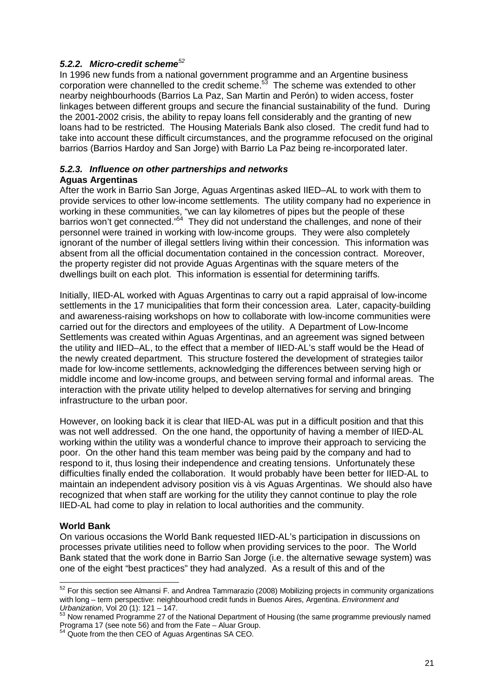# *5.2.2. Micro-credit scheme<sup>52</sup>*

In 1996 new funds from a national government programme and an Argentine business corporation were channelled to the credit scheme. $5<sup>3</sup>$  The scheme was extended to other nearby neighbourhoods (Barrios La Paz, San Martin and Perón) to widen access, foster linkages between different groups and secure the financial sustainability of the fund. During the 2001-2002 crisis, the ability to repay loans fell considerably and the granting of new loans had to be restricted. The Housing Materials Bank also closed. The credit fund had to take into account these difficult circumstances, and the programme refocused on the original barrios (Barrios Hardoy and San Jorge) with Barrio La Paz being re-incorporated later.

#### *5.2.3. Influence on other partnerships and networks* **Aguas Argentinas**

After the work in Barrio San Jorge, Aguas Argentinas asked IIED–AL to work with them to provide services to other low-income settlements. The utility company had no experience in working in these communities, "we can lay kilometres of pipes but the people of these barrios won't get connected."<sup>54</sup> They did not understand the challenges, and none of their personnel were trained in working with low-income groups. They were also completely ignorant of the number of illegal settlers living within their concession. This information was absent from all the official documentation contained in the concession contract. Moreover, the property register did not provide Aguas Argentinas with the square meters of the dwellings built on each plot. This information is essential for determining tariffs.

Initially, IIED-AL worked with Aguas Argentinas to carry out a rapid appraisal of low-income settlements in the 17 municipalities that form their concession area. Later, capacity-building and awareness-raising workshops on how to collaborate with low-income communities were carried out for the directors and employees of the utility. A Department of Low-Income Settlements was created within Aguas Argentinas, and an agreement was signed between the utility and IIED–AL, to the effect that a member of IIED-AL's staff would be the Head of the newly created department. This structure fostered the development of strategies tailor made for low-income settlements, acknowledging the differences between serving high or middle income and low-income groups, and between serving formal and informal areas. The interaction with the private utility helped to develop alternatives for serving and bringing infrastructure to the urban poor.

However, on looking back it is clear that IIED-AL was put in a difficult position and that this was not well addressed. On the one hand, the opportunity of having a member of IIED-AL working within the utility was a wonderful chance to improve their approach to servicing the poor. On the other hand this team member was being paid by the company and had to respond to it, thus losing their independence and creating tensions. Unfortunately these difficulties finally ended the collaboration. It would probably have been better for IIED-AL to maintain an independent advisory position vis à vis Aguas Argentinas. We should also have recognized that when staff are working for the utility they cannot continue to play the role IIED-AL had come to play in relation to local authorities and the community.

#### **World Bank**

l

On various occasions the World Bank requested IIED-AL's participation in discussions on processes private utilities need to follow when providing services to the poor. The World Bank stated that the work done in Barrio San Jorge (i.e. the alternative sewage system) was one of the eight "best practices" they had analyzed. As a result of this and of the

 $52$  For this section see Almansi F. and Andrea Tammarazio (2008) Mobilizing projects in community organizations with long – term perspective: neighbourhood credit funds in Buenos Aires, Argentina. *Environment and Urbanization*, Vol 20 (1): 121 – 147.

<sup>53</sup> Now renamed Programme 27 of the National Department of Housing (the same programme previously named Programa 17 (see note 56) and from the Fate – Aluar Group.

<sup>&</sup>lt;sup>54</sup> Quote from the then CEO of Aguas Argentinas SA CEO.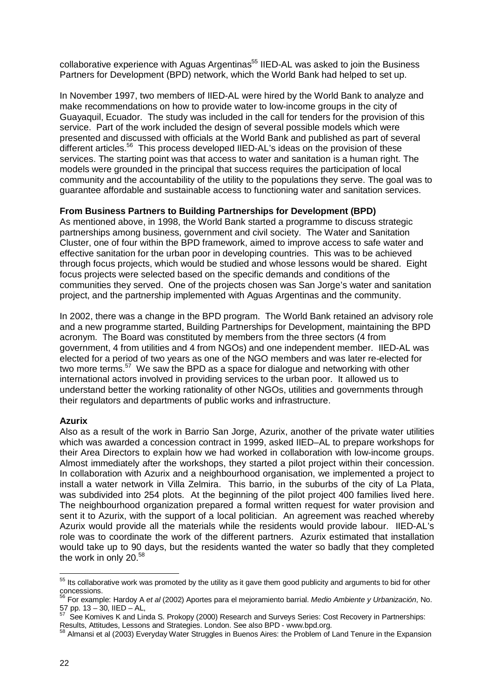collaborative experience with Aguas Argentinas<sup>55</sup> IIED-AL was asked to join the Business Partners for Development (BPD) network, which the World Bank had helped to set up.

In November 1997, two members of IIED-AL were hired by the World Bank to analyze and make recommendations on how to provide water to low-income groups in the city of Guayaquil, Ecuador. The study was included in the call for tenders for the provision of this service. Part of the work included the design of several possible models which were presented and discussed with officials at the World Bank and published as part of several different articles.<sup>56</sup> This process developed IIED-AL's ideas on the provision of these services. The starting point was that access to water and sanitation is a human right. The models were grounded in the principal that success requires the participation of local community and the accountability of the utility to the populations they serve. The goal was to guarantee affordable and sustainable access to functioning water and sanitation services.

#### **From Business Partners to Building Partnerships for Development (BPD)**

As mentioned above, in 1998, the World Bank started a programme to discuss strategic partnerships among business, government and civil society. The Water and Sanitation Cluster, one of four within the BPD framework, aimed to improve access to safe water and effective sanitation for the urban poor in developing countries. This was to be achieved through focus projects, which would be studied and whose lessons would be shared. Eight focus projects were selected based on the specific demands and conditions of the communities they served. One of the projects chosen was San Jorge's water and sanitation project, and the partnership implemented with Aguas Argentinas and the community.

In 2002, there was a change in the BPD program. The World Bank retained an advisory role and a new programme started, Building Partnerships for Development, maintaining the BPD acronym. The Board was constituted by members from the three sectors (4 from government, 4 from utilities and 4 from NGOs) and one independent member. IIED-AL was elected for a period of two years as one of the NGO members and was later re-elected for two more terms.<sup>57</sup> We saw the BPD as a space for dialogue and networking with other international actors involved in providing services to the urban poor. It allowed us to understand better the working rationality of other NGOs, utilities and governments through their regulators and departments of public works and infrastructure.

#### **Azurix**

Also as a result of the work in Barrio San Jorge, Azurix, another of the private water utilities which was awarded a concession contract in 1999, asked IIED–AL to prepare workshops for their Area Directors to explain how we had worked in collaboration with low-income groups. Almost immediately after the workshops, they started a pilot project within their concession. In collaboration with Azurix and a neighbourhood organisation, we implemented a project to install a water network in Villa Zelmira. This barrio, in the suburbs of the city of La Plata, was subdivided into 254 plots. At the beginning of the pilot project 400 families lived here. The neighbourhood organization prepared a formal written request for water provision and sent it to Azurix, with the support of a local politician. An agreement was reached whereby Azurix would provide all the materials while the residents would provide labour. IIED-AL's role was to coordinate the work of the different partners. Azurix estimated that installation would take up to 90 days, but the residents wanted the water so badly that they completed the work in only 20.<sup>58</sup>

 $\overline{\phantom{a}}$  $55$  Its collaborative work was promoted by the utility as it gave them good publicity and arguments to bid for other concessions.

<sup>56</sup> For example: Hardoy A *et al* (2002) Aportes para el mejoramiento barrial. *Medio Ambiente y Urbanización*, No.  $57$  pp.  $13 - 30$ , IIED – AL,

See Komives K and Linda S. Prokopy (2000) Research and Surveys Series: Cost Recovery in Partnerships:

Results, Attitudes, Lessons and Strategies. London. See also BPD - www.bpd.org.

Almansi et al (2003) Everyday Water Struggles in Buenos Aires: the Problem of Land Tenure in the Expansion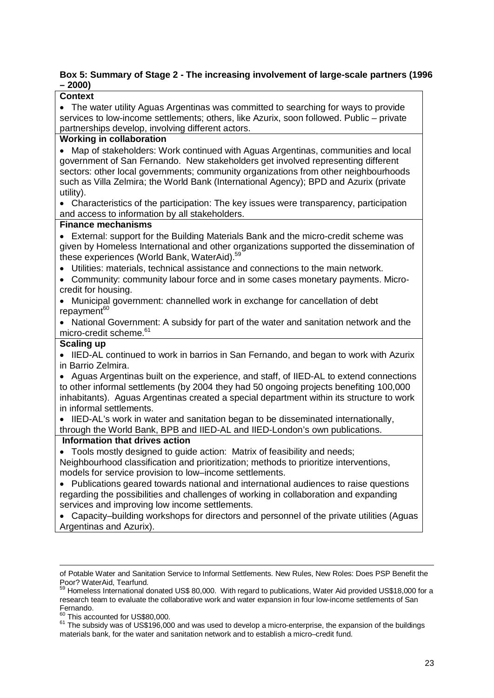#### **Box 5: Summary of Stage 2 - The increasing involvement of large-scale partners (1996 – 2000)**

| ∸∪∪∪                                                                                     |  |  |  |
|------------------------------------------------------------------------------------------|--|--|--|
| <b>Context</b>                                                                           |  |  |  |
| • The water utility Aguas Argentinas was committed to searching for ways to provide      |  |  |  |
| services to low-income settlements; others, like Azurix, soon followed. Public - private |  |  |  |
| partnerships develop, involving different actors.                                        |  |  |  |
| <b>Working in collaboration</b>                                                          |  |  |  |
| Map of stakeholders: Work continued with Aguas Argentinas, communities and local         |  |  |  |
| government of San Fernando. New stakeholders get involved representing different         |  |  |  |
| sectors: other local governments; community organizations from other neighbourhoods      |  |  |  |
| such as Villa Zelmira; the World Bank (International Agency); BPD and Azurix (private    |  |  |  |
| utility).                                                                                |  |  |  |
| • Characteristics of the participation: The key issues were transparency, participation  |  |  |  |
| and access to information by all stakeholders.                                           |  |  |  |
| <b>Finance mechanisms</b>                                                                |  |  |  |
| • External: support for the Building Materials Bank and the micro-credit scheme was      |  |  |  |
| given by Homeless International and other organizations supported the dissemination of   |  |  |  |
| these experiences (World Bank, WaterAid). <sup>59</sup>                                  |  |  |  |
| Utilities: materials, technical assistance and connections to the main network.          |  |  |  |
| Community: community labour force and in some cases monetary payments. Micro-            |  |  |  |
| credit for housing.                                                                      |  |  |  |
| Municipal government: channelled work in exchange for cancellation of debt               |  |  |  |
| repayment <sup>60</sup>                                                                  |  |  |  |
| National Government: A subsidy for part of the water and sanitation network and the      |  |  |  |
| micro-credit scheme. <sup>61</sup>                                                       |  |  |  |
| <b>Scaling up</b>                                                                        |  |  |  |
| IIED-AL continued to work in barrios in San Fernando, and began to work with Azurix      |  |  |  |
| in Barrio Zelmira.                                                                       |  |  |  |
| Aguas Argentinas built on the experience, and staff, of IIED-AL to extend connections    |  |  |  |
| to other informal settlements (by 2004 they had 50 ongoing projects benefiting 100,000   |  |  |  |
| inhabitants). Aguas Argentinas created a special department within its structure to work |  |  |  |
| in informal settlements.                                                                 |  |  |  |
| • IIED-AL's work in water and sanitation began to be disseminated internationally,       |  |  |  |
| through the World Bank, BPB and IIED-AL and IIED-London's own publications.              |  |  |  |
| Information that drives action                                                           |  |  |  |
| • Tools mostly designed to guide action: Matrix of feasibility and needs;                |  |  |  |
| Neighbourhood classification and prioritization; methods to prioritize interventions,    |  |  |  |
| models for service provision to low-income settlements.                                  |  |  |  |
| Publications geared towards national and international audiences to raise questions      |  |  |  |
| regarding the possibilities and challenges of working in collaboration and expanding     |  |  |  |
| services and improving low income settlements.                                           |  |  |  |
| Capacity-building workshops for directors and personnel of the private utilities (Aguas  |  |  |  |
| Argentinas and Azurix).                                                                  |  |  |  |
|                                                                                          |  |  |  |
|                                                                                          |  |  |  |
|                                                                                          |  |  |  |
|                                                                                          |  |  |  |

of Potable Water and Sanitation Service to Informal Settlements. New Rules, New Roles: Does PSP Benefit the Poor? WaterAid, Tearfund.

<sup>61</sup> The subsidy was of US\$196,000 and was used to develop a micro-enterprise, the expansion of the buildings materials bank, for the water and sanitation network and to establish a micro–credit fund.

 $^{59}$  Homeless International donated US\$ 80,000. With regard to publications, Water Aid provided US\$18,000 for a research team to evaluate the collaborative work and water expansion in four low-income settlements of San Fernando.

 $\frac{60}{10}$  This accounted for US\$80,000.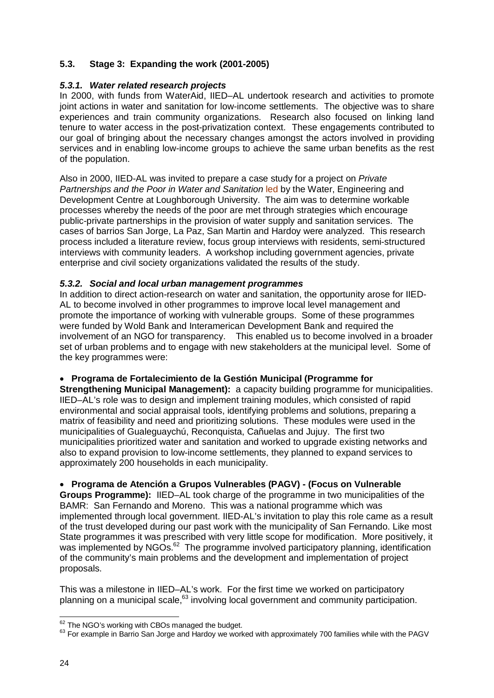# **5.3. Stage 3: Expanding the work (2001-2005)**

### *5.3.1. Water related research projects*

In 2000, with funds from WaterAid, IIED–AL undertook research and activities to promote joint actions in water and sanitation for low-income settlements. The objective was to share experiences and train community organizations. Research also focused on linking land tenure to water access in the post-privatization context. These engagements contributed to our goal of bringing about the necessary changes amongst the actors involved in providing services and in enabling low-income groups to achieve the same urban benefits as the rest of the population.

Also in 2000, IIED-AL was invited to prepare a case study for a project on *Private Partnerships and the Poor in Water and Sanitation* led by the Water, Engineering and Development Centre at Loughborough University. The aim was to determine workable processes whereby the needs of the poor are met through strategies which encourage public-private partnerships in the provision of water supply and sanitation services. The cases of barrios San Jorge, La Paz, San Martin and Hardoy were analyzed. This research process included a literature review, focus group interviews with residents, semi-structured interviews with community leaders. A workshop including government agencies, private enterprise and civil society organizations validated the results of the study.

#### *5.3.2. Social and local urban management programmes*

In addition to direct action-research on water and sanitation, the opportunity arose for IIED-AL to become involved in other programmes to improve local level management and promote the importance of working with vulnerable groups. Some of these programmes were funded by Wold Bank and Interamerican Development Bank and required the involvement of an NGO for transparency. This enabled us to become involved in a broader set of urban problems and to engage with new stakeholders at the municipal level. Some of the key programmes were:

# **Programa de Fortalecimiento de la Gestión Municipal (Programme for**

**Strengthening Municipal Management):** a capacity building programme for municipalities. IIED–AL's role was to design and implement training modules, which consisted of rapid environmental and social appraisal tools, identifying problems and solutions, preparing a matrix of feasibility and need and prioritizing solutions. These modules were used in the municipalities of Gualeguaychú, Reconquista, Cañuelas and Jujuy. The first two municipalities prioritized water and sanitation and worked to upgrade existing networks and also to expand provision to low-income settlements, they planned to expand services to approximately 200 households in each municipality.

#### **Programa de Atención a Grupos Vulnerables (PAGV) - (Focus on Vulnerable**

**Groups Programme):** IIED–AL took charge of the programme in two municipalities of the BAMR: San Fernando and Moreno. This was a national programme which was implemented through local government. IIED-AL's invitation to play this role came as a result of the trust developed during our past work with the municipality of San Fernando. Like most State programmes it was prescribed with very little scope for modification. More positively, it was implemented by NGOs.<sup>62</sup> The programme involved participatory planning, identification of the community's main problems and the development and implementation of project proposals.

This was a milestone in IIED–AL's work. For the first time we worked on participatory planning on a municipal scale,<sup>63</sup> involving local government and community participation.

 $\overline{\phantom{a}}$  $62$  The NGO's working with CBOs managed the budget.

 $63$  For example in Barrio San Jorge and Hardoy we worked with approximately 700 families while with the PAGV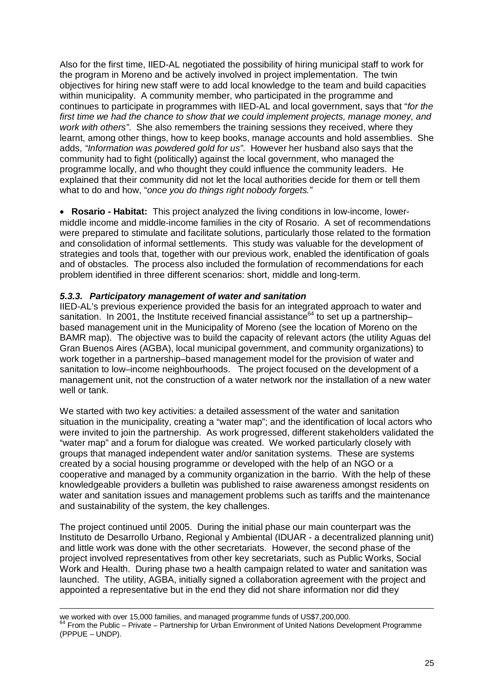Also for the first time, IIED-AL negotiated the possibility of hiring municipal staff to work for the program in Moreno and be actively involved in project implementation. The twin objectives for hiring new staff were to add local knowledge to the team and build capacities within municipality. A community member, who participated in the programme and continues to participate in programmes with IIED-AL and local government, says that "*for the first time we had the chance to show that we could implement projects, manage money, and work with others"*. She also remembers the training sessions they received, where they learnt, among other things, how to keep books, manage accounts and hold assemblies. She adds, *"Information was powdered gold for us"*. However her husband also says that the community had to fight (politically) against the local government, who managed the programme locally, and who thought they could influence the community leaders. He explained that their community did not let the local authorities decide for them or tell them what to do and how, "*once you do things right nobody forgets."*

 **Rosario - Habitat:** This project analyzed the living conditions in low-income, lowermiddle income and middle-income families in the city of Rosario. A set of recommendations were prepared to stimulate and facilitate solutions, particularly those related to the formation and consolidation of informal settlements. This study was valuable for the development of strategies and tools that, together with our previous work, enabled the identification of goals and of obstacles. The process also included the formulation of recommendations for each problem identified in three different scenarios: short, middle and long-term.

#### *5.3.3. Participatory management of water and sanitation*

 $\overline{a}$ 

IIED-AL's previous experience provided the basis for an integrated approach to water and sanitation. In 2001, the Institute received financial assistance<sup>64</sup> to set up a partnershipbased management unit in the Municipality of Moreno (see the location of Moreno on the BAMR map). The objective was to build the capacity of relevant actors (the utility Aguas del Gran Buenos Aires (AGBA), local municipal government, and community organizations) to work together in a partnership–based management model for the provision of water and sanitation to low–income neighbourhoods. The project focused on the development of a management unit, not the construction of a water network nor the installation of a new water well or tank.

We started with two key activities: a detailed assessment of the water and sanitation situation in the municipality, creating a "water map"; and the identification of local actors who were invited to join the partnership. As work progressed, different stakeholders validated the "water map" and a forum for dialogue was created. We worked particularly closely with groups that managed independent water and/or sanitation systems. These are systems created by a social housing programme or developed with the help of an NGO or a cooperative and managed by a community organization in the barrio. With the help of these knowledgeable providers a bulletin was published to raise awareness amongst residents on water and sanitation issues and management problems such as tariffs and the maintenance and sustainability of the system, the key challenges.

The project continued until 2005. During the initial phase our main counterpart was the Instituto de Desarrollo Urbano, Regional y Ambiental (IDUAR - a decentralized planning unit) and little work was done with the other secretariats. However, the second phase of the project involved representatives from other key secretariats, such as Public Works, Social Work and Health. During phase two a health campaign related to water and sanitation was launched. The utility, AGBA, initially signed a collaboration agreement with the project and appointed a representative but in the end they did not share information nor did they

we worked with over 15,000 families, and managed programme funds of US\$7,200,000. <sup>64</sup> From the Public – Private – Partnership for Urban Environment of United Nations Development Programme (PPPUE – UNDP).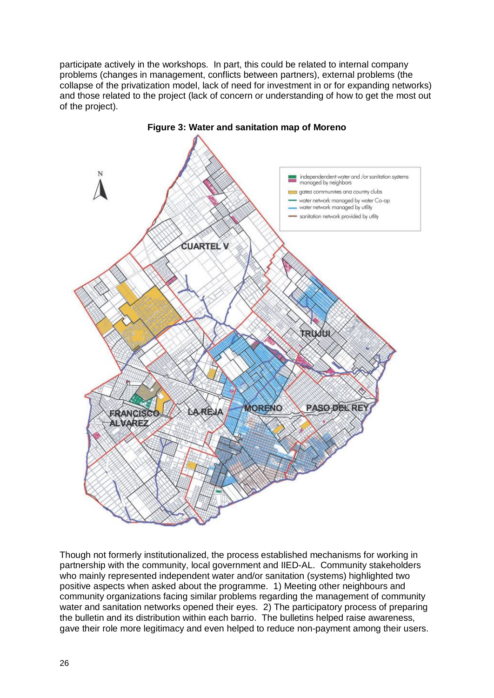participate actively in the workshops. In part, this could be related to internal company problems (changes in management, conflicts between partners), external problems (the collapse of the privatization model, lack of need for investment in or for expanding networks) and those related to the project (lack of concern or understanding of how to get the most out of the project).



Though not formerly institutionalized, the process established mechanisms for working in partnership with the community, local government and IIED-AL. Community stakeholders who mainly represented independent water and/or sanitation (systems) highlighted two positive aspects when asked about the programme. 1) Meeting other neighbours and community organizations facing similar problems regarding the management of community water and sanitation networks opened their eyes. 2) The participatory process of preparing the bulletin and its distribution within each barrio. The bulletins helped raise awareness, gave their role more legitimacy and even helped to reduce non-payment among their users.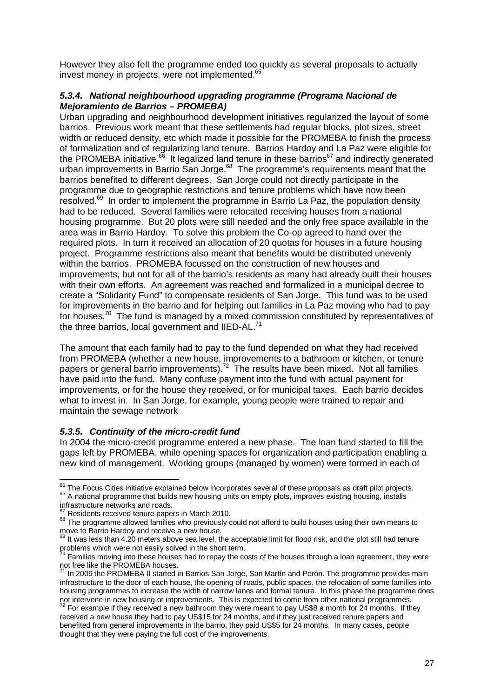However they also felt the programme ended too quickly as several proposals to actually invest money in projects, were not implemented.<sup>65</sup>

#### *5.3.4. National neighbourhood upgrading programme (Programa Nacional de Mejoramiento de Barrios – PROMEBA)*

Urban upgrading and neighbourhood development initiatives regularized the layout of some barrios. Previous work meant that these settlements had regular blocks, plot sizes, street width or reduced density, etc which made it possible for the PROMEBA to finish the process of formalization and of regularizing land tenure. Barrios Hardoy and La Paz were eligible for the PROMEBA initiative.<sup>66</sup> It legalized land tenure in these barrios<sup>67</sup> and indirectly generated urban improvements in Barrio San Jorge.<sup>68</sup> The programme's requirements meant that the barrios benefited to different degrees. San Jorge could not directly participate in the programme due to geographic restrictions and tenure problems which have now been resolved.<sup>69</sup> In order to implement the programme in Barrio La Paz, the population density had to be reduced. Several families were relocated receiving houses from a national housing programme. But 20 plots were still needed and the only free space available in the area was in Barrio Hardoy. To solve this problem the Co-op agreed to hand over the required plots. In turn it received an allocation of 20 quotas for houses in a future housing project. Programme restrictions also meant that benefits would be distributed unevenly within the barrios. PROMEBA focussed on the construction of new houses and improvements, but not for all of the barrio's residents as many had already built their houses with their own efforts. An agreement was reached and formalized in a municipal decree to create a "Solidarity Fund" to compensate residents of San Jorge. This fund was to be used for improvements in the barrio and for helping out families in La Paz moving who had to pay for houses.<sup>70</sup> The fund is managed by a mixed commission constituted by representatives of the three barrios, local government and IIED-AL.<sup>71</sup>

The amount that each family had to pay to the fund depended on what they had received from PROMEBA (whether a new house, improvements to a bathroom or kitchen, or tenure papers or general barrio improvements).<sup>72</sup> The results have been mixed. Not all families have paid into the fund. Many confuse payment into the fund with actual payment for improvements, or for the house they received, or for municipal taxes. Each barrio decides what to invest in. In San Jorge, for example, young people were trained to repair and maintain the sewage network

#### *5.3.5. Continuity of the micro-credit fund*

In 2004 the micro-credit programme entered a new phase. The loan fund started to fill the gaps left by PROMEBA, while opening spaces for organization and participation enabling a new kind of management. Working groups (managed by women) were formed in each of

 $\frac{65}{10}$  The Focus Cities initiative explained below incorporates several of these proposals as draft pilot projects. <sup>66</sup> A national programme that builds new housing units on empty plots, improves existing housing, installs

infrastructure networks and roads.

Residents received tenure papers in March 2010.

<sup>&</sup>lt;sup>68</sup> The programme allowed families who previously could not afford to build houses using their own means to move to Barrio Hardoy and receive a new house.

 $69$  It was less than 4.20 meters above sea level, the acceptable limit for flood risk, and the plot still had tenure problems which were not easily solved in the short term.

 $70$  Families moving into these houses had to repay the costs of the houses through a loan agreement, they were not free like the PROMEBA houses.

In 2009 the PROMEBA II started in Barrios San Jorge, San Martín and Perón. The programme provides main infrastructure to the door of each house, the opening of roads, public spaces, the relocation of some families into housing programmes to increase the width of narrow lanes and formal tenure. In this phase the programme does not intervene in new housing or improvements. This is expected to come from other national programmes.

 $72$  For example if they received a new bathroom they were meant to pay US\$8 a month for 24 months. If they received a new house they had to pay US\$15 for 24 months, and if they just received tenure papers and benefited from general improvements in the barrio, they paid US\$5 for 24 months. In many cases, people thought that they were paying the full cost of the improvements.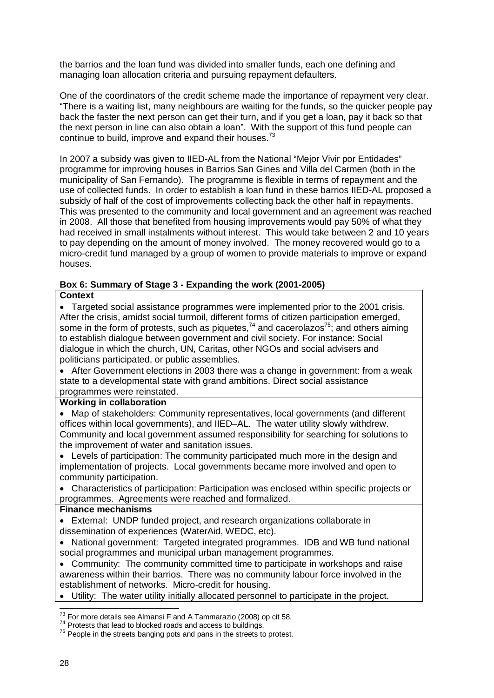the barrios and the loan fund was divided into smaller funds, each one defining and managing loan allocation criteria and pursuing repayment defaulters.

One of the coordinators of the credit scheme made the importance of repayment very clear. "There is a waiting list, many neighbours are waiting for the funds, so the quicker people pay back the faster the next person can get their turn, and if you get a loan, pay it back so that the next person in line can also obtain a loan". With the support of this fund people can continue to build, improve and expand their houses. $73$ 

In 2007 a subsidy was given to IIED-AL from the National "Mejor Vivir por Entidades" programme for improving houses in Barrios San Gines and Villa del Carmen (both in the municipality of San Fernando). The programme is flexible in terms of repayment and the use of collected funds. In order to establish a loan fund in these barrios IIED-AL proposed a subsidy of half of the cost of improvements collecting back the other half in repayments. This was presented to the community and local government and an agreement was reached in 2008. All those that benefited from housing improvements would pay 50% of what they had received in small instalments without interest. This would take between 2 and 10 years to pay depending on the amount of money involved. The money recovered would go to a micro-credit fund managed by a group of women to provide materials to improve or expand houses.

# **Box 6: Summary of Stage 3 - Expanding the work (2001-2005)**

#### **Context**

 Targeted social assistance programmes were implemented prior to the 2001 crisis. After the crisis, amidst social turmoil, different forms of citizen participation emerged, some in the form of protests, such as piquetes,  $74$  and cacerolazos $75$ ; and others aiming to establish dialogue between government and civil society. For instance: Social dialogue in which the church, UN, Caritas, other NGOs and social advisers and politicians participated, or public assemblies.

• After Government elections in 2003 there was a change in government: from a weak state to a developmental state with grand ambitions. Direct social assistance programmes were reinstated.

#### **Working in collaboration**

 Map of stakeholders: Community representatives, local governments (and different offices within local governments), and IIED–AL. The water utility slowly withdrew. Community and local government assumed responsibility for searching for solutions to the improvement of water and sanitation issues.

 Levels of participation: The community participated much more in the design and implementation of projects. Local governments became more involved and open to community participation.

 Characteristics of participation: Participation was enclosed within specific projects or programmes. Agreements were reached and formalized.

#### **Finance mechanisms**

 External: UNDP funded project, and research organizations collaborate in dissemination of experiences (WaterAid, WEDC, etc).

• National government: Targeted integrated programmes. IDB and WB fund national social programmes and municipal urban management programmes.

 Community: The community committed time to participate in workshops and raise awareness within their barrios. There was no community labour force involved in the establishment of networks. Micro-credit for housing.

Utility: The water utility initially allocated personnel to participate in the project.

 $\overline{a}$  $^{73}_{\sim}$  For more details see Almansi F and A Tammarazio (2008) op cit 58.

<sup>&</sup>lt;sup>74</sup> Protests that lead to blocked roads and access to buildings.

<sup>&</sup>lt;sup>75</sup> People in the streets banging pots and pans in the streets to protest.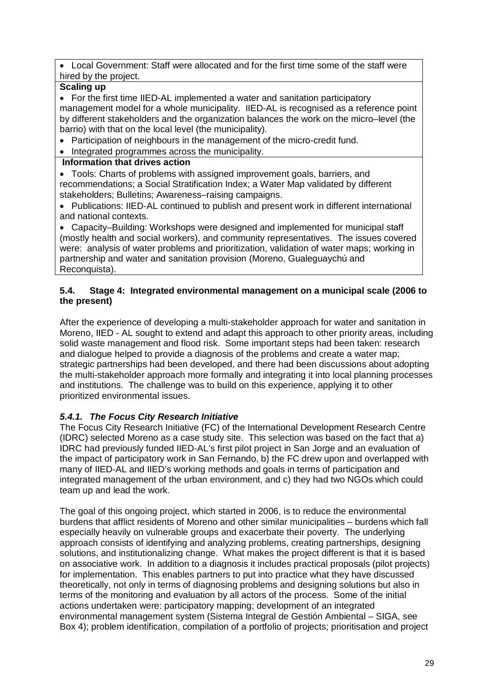Local Government: Staff were allocated and for the first time some of the staff were hired by the project.

# **Scaling up**

 For the first time IIED-AL implemented a water and sanitation participatory management model for a whole municipality. IIED-AL is recognised as a reference point by different stakeholders and the organization balances the work on the micro–level (the barrio) with that on the local level (the municipality).

Participation of neighbours in the management of the micro-credit fund.

• Integrated programmes across the municipality.

# **Information that drives action**

 Tools: Charts of problems with assigned improvement goals, barriers, and recommendations; a Social Stratification Index; a Water Map validated by different stakeholders; Bulletins; Awareness–raising campaigns.

• Publications: IIED-AL continued to publish and present work in different international and national contexts.

 Capacity–Building: Workshops were designed and implemented for municipal staff (mostly health and social workers), and community representatives. The issues covered were: analysis of water problems and prioritization, validation of water maps; working in partnership and water and sanitation provision (Moreno, Gualeguaychú and Reconquista).

### **5.4. Stage 4: Integrated environmental management on a municipal scale (2006 to the present)**

After the experience of developing a multi-stakeholder approach for water and sanitation in Moreno, IIED - AL sought to extend and adapt this approach to other priority areas, including solid waste management and flood risk. Some important steps had been taken: research and dialogue helped to provide a diagnosis of the problems and create a water map; strategic partnerships had been developed, and there had been discussions about adopting the multi-stakeholder approach more formally and integrating it into local planning processes and institutions. The challenge was to build on this experience, applying it to other prioritized environmental issues.

# *5.4.1. The Focus City Research Initiative*

The Focus City Research Initiative (FC) of the International Development Research Centre (IDRC) selected Moreno as a case study site. This selection was based on the fact that a) IDRC had previously funded IIED-AL's first pilot project in San Jorge and an evaluation of the impact of participatory work in San Fernando, b) the FC drew upon and overlapped with many of IIED-AL and IIED's working methods and goals in terms of participation and integrated management of the urban environment, and c) they had two NGOs which could team up and lead the work.

The goal of this ongoing project, which started in 2006, is to reduce the environmental burdens that afflict residents of Moreno and other similar municipalities – burdens which fall especially heavily on vulnerable groups and exacerbate their poverty. The underlying approach consists of identifying and analyzing problems, creating partnerships, designing solutions, and institutionalizing change. What makes the project different is that it is based on associative work. In addition to a diagnosis it includes practical proposals (pilot projects) for implementation. This enables partners to put into practice what they have discussed theoretically, not only in terms of diagnosing problems and designing solutions but also in terms of the monitoring and evaluation by all actors of the process. Some of the initial actions undertaken were: participatory mapping; development of an integrated environmental management system (Sistema Integral de Gestión Ambiental – SIGA, see Box 4); problem identification, compilation of a portfolio of projects; prioritisation and project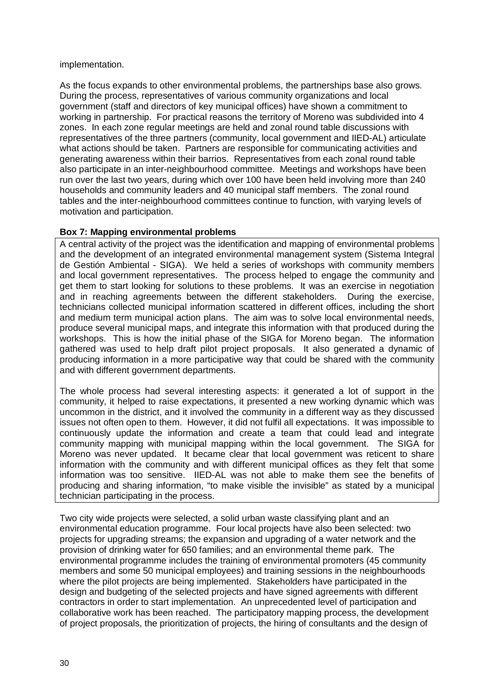#### implementation.

As the focus expands to other environmental problems, the partnerships base also grows. During the process, representatives of various community organizations and local government (staff and directors of key municipal offices) have shown a commitment to working in partnership. For practical reasons the territory of Moreno was subdivided into 4 zones. In each zone regular meetings are held and zonal round table discussions with representatives of the three partners (community, local government and IIED-AL) articulate what actions should be taken. Partners are responsible for communicating activities and generating awareness within their barrios. Representatives from each zonal round table also participate in an inter-neighbourhood committee. Meetings and workshops have been run over the last two years, during which over 100 have been held involving more than 240 households and community leaders and 40 municipal staff members. The zonal round tables and the inter-neighbourhood committees continue to function, with varying levels of motivation and participation.

# **Box 7: Mapping environmental problems**

A central activity of the project was the identification and mapping of environmental problems and the development of an integrated environmental management system (Sistema Integral de Gestión Ambiental - SIGA). We held a series of workshops with community members and local government representatives. The process helped to engage the community and get them to start looking for solutions to these problems. It was an exercise in negotiation and in reaching agreements between the different stakeholders. During the exercise, technicians collected municipal information scattered in different offices, including the short and medium term municipal action plans. The aim was to solve local environmental needs, produce several municipal maps, and integrate this information with that produced during the workshops. This is how the initial phase of the SIGA for Moreno began. The information gathered was used to help draft pilot project proposals. It also generated a dynamic of producing information in a more participative way that could be shared with the community and with different government departments.

The whole process had several interesting aspects: it generated a lot of support in the community, it helped to raise expectations, it presented a new working dynamic which was uncommon in the district, and it involved the community in a different way as they discussed issues not often open to them. However, it did not fulfil all expectations. It was impossible to continuously update the information and create a team that could lead and integrate community mapping with municipal mapping within the local government. The SIGA for Moreno was never updated. It became clear that local government was reticent to share information with the community and with different municipal offices as they felt that some information was too sensitive. IIED-AL was not able to make them see the benefits of producing and sharing information, "to make visible the invisible" as stated by a municipal technician participating in the process.

Two city wide projects were selected, a solid urban waste classifying plant and an environmental education programme. Four local projects have also been selected: two projects for upgrading streams; the expansion and upgrading of a water network and the provision of drinking water for 650 families; and an environmental theme park. The environmental programme includes the training of environmental promoters (45 community members and some 50 municipal employees) and training sessions in the neighbourhoods where the pilot projects are being implemented. Stakeholders have participated in the design and budgeting of the selected projects and have signed agreements with different contractors in order to start implementation. An unprecedented level of participation and collaborative work has been reached. The participatory mapping process, the development of project proposals, the prioritization of projects, the hiring of consultants and the design of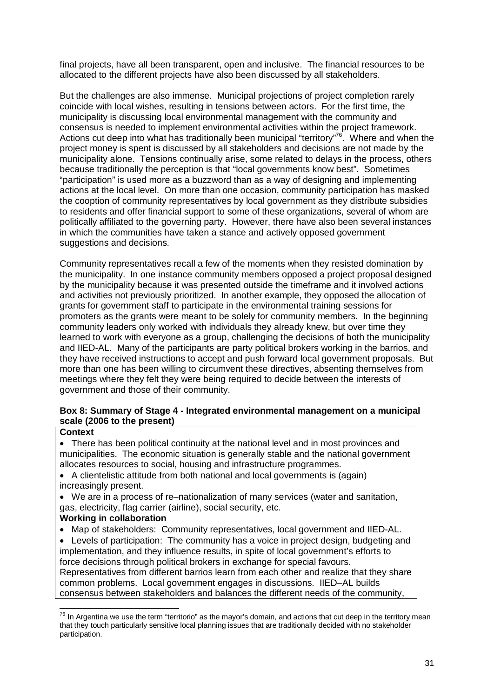final projects, have all been transparent, open and inclusive. The financial resources to be allocated to the different projects have also been discussed by all stakeholders.

But the challenges are also immense. Municipal projections of project completion rarely coincide with local wishes, resulting in tensions between actors. For the first time, the municipality is discussing local environmental management with the community and consensus is needed to implement environmental activities within the project framework. Actions cut deep into what has traditionally been municipal "territory"<sup>76</sup>. Where and when the project money is spent is discussed by all stakeholders and decisions are not made by the municipality alone. Tensions continually arise, some related to delays in the process, others because traditionally the perception is that "local governments know best". Sometimes "participation" is used more as a buzzword than as a way of designing and implementing actions at the local level. On more than one occasion, community participation has masked the cooption of community representatives by local government as they distribute subsidies to residents and offer financial support to some of these organizations, several of whom are politically affiliated to the governing party. However, there have also been several instances in which the communities have taken a stance and actively opposed government suggestions and decisions.

Community representatives recall a few of the moments when they resisted domination by the municipality. In one instance community members opposed a project proposal designed by the municipality because it was presented outside the timeframe and it involved actions and activities not previously prioritized. In another example, they opposed the allocation of grants for government staff to participate in the environmental training sessions for promoters as the grants were meant to be solely for community members. In the beginning community leaders only worked with individuals they already knew, but over time they learned to work with everyone as a group, challenging the decisions of both the municipality and IIED-AL. Many of the participants are party political brokers working in the barrios, and they have received instructions to accept and push forward local government proposals. But more than one has been willing to circumvent these directives, absenting themselves from meetings where they felt they were being required to decide between the interests of government and those of their community.

#### **Box 8: Summary of Stage 4 - Integrated environmental management on a municipal scale (2006 to the present)**

#### **Context**

 There has been political continuity at the national level and in most provinces and municipalities. The economic situation is generally stable and the national government allocates resources to social, housing and infrastructure programmes.

 A clientelistic attitude from both national and local governments is (again) increasingly present.

 We are in a process of re–nationalization of many services (water and sanitation, gas, electricity, flag carrier (airline), social security, etc.

#### **Working in collaboration**

Map of stakeholders: Community representatives, local government and IIED-AL.

 Levels of participation: The community has a voice in project design, budgeting and implementation, and they influence results, in spite of local government's efforts to force decisions through political brokers in exchange for special favours. Representatives from different barrios learn from each other and realize that they share common problems. Local government engages in discussions. IIED–AL builds

consensus between stakeholders and balances the different needs of the community,

 $\overline{a}$  $^{76}$  In Argentina we use the term "territorio" as the mayor's domain, and actions that cut deep in the territory mean that they touch particularly sensitive local planning issues that are traditionally decided with no stakeholder participation.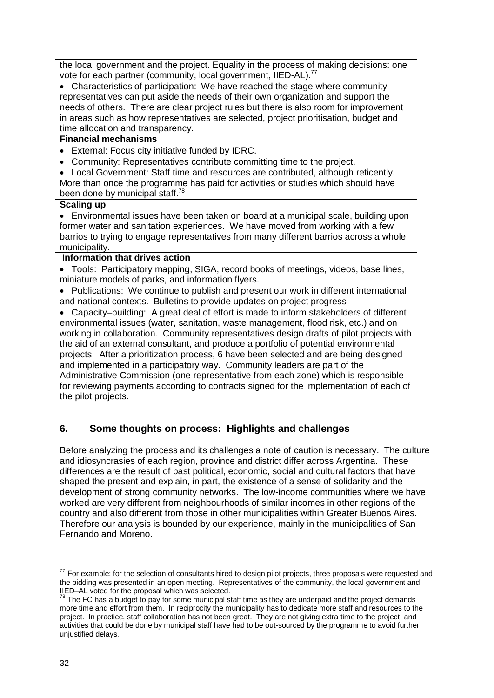the local government and the project. Equality in the process of making decisions: one vote for each partner (community, local government, IIED-AL).<sup>77</sup>

 Characteristics of participation: We have reached the stage where community representatives can put aside the needs of their own organization and support the needs of others. There are clear project rules but there is also room for improvement in areas such as how representatives are selected, project prioritisation, budget and time allocation and transparency.

# **Financial mechanisms**

- External: Focus city initiative funded by IDRC.
- Community: Representatives contribute committing time to the project.

 Local Government: Staff time and resources are contributed, although reticently. More than once the programme has paid for activities or studies which should have been done by municipal staff.<sup>78</sup>

#### **Scaling up**

 Environmental issues have been taken on board at a municipal scale, building upon former water and sanitation experiences. We have moved from working with a few barrios to trying to engage representatives from many different barrios across a whole municipality.

# **Information that drives action**

 Tools: Participatory mapping, SIGA, record books of meetings, videos, base lines, miniature models of parks, and information flyers.

• Publications: We continue to publish and present our work in different international and national contexts. Bulletins to provide updates on project progress

 Capacity–building: A great deal of effort is made to inform stakeholders of different environmental issues (water, sanitation, waste management, flood risk, etc.) and on working in collaboration. Community representatives design drafts of pilot projects with the aid of an external consultant, and produce a portfolio of potential environmental projects. After a prioritization process, 6 have been selected and are being designed and implemented in a participatory way. Community leaders are part of the Administrative Commission (one representative from each zone) which is responsible for reviewing payments according to contracts signed for the implementation of each of the pilot projects.

# **6. Some thoughts on process: Highlights and challenges**

Before analyzing the process and its challenges a note of caution is necessary. The culture and idiosyncrasies of each region, province and district differ across Argentina. These differences are the result of past political, economic, social and cultural factors that have shaped the present and explain, in part, the existence of a sense of solidarity and the development of strong community networks. The low-income communities where we have worked are very different from neighbourhoods of similar incomes in other regions of the country and also different from those in other municipalities within Greater Buenos Aires. Therefore our analysis is bounded by our experience, mainly in the municipalities of San Fernando and Moreno.

į

 $77$  For example: for the selection of consultants hired to design pilot projects, three proposals were requested and the bidding was presented in an open meeting. Representatives of the community, the local government and IIED–AL voted for the proposal which was selected.

 $78$  The FC has a budget to pay for some municipal staff time as they are underpaid and the project demands more time and effort from them. In reciprocity the municipality has to dedicate more staff and resources to the project. In practice, staff collaboration has not been great. They are not giving extra time to the project, and activities that could be done by municipal staff have had to be out-sourced by the programme to avoid further unjustified delays.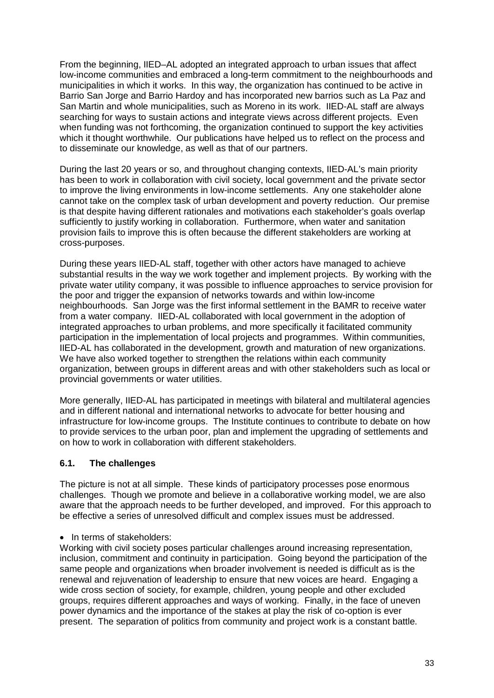From the beginning, IIED–AL adopted an integrated approach to urban issues that affect low-income communities and embraced a long-term commitment to the neighbourhoods and municipalities in which it works. In this way, the organization has continued to be active in Barrio San Jorge and Barrio Hardoy and has incorporated new barrios such as La Paz and San Martin and whole municipalities, such as Moreno in its work. IIED-AL staff are always searching for ways to sustain actions and integrate views across different projects. Even when funding was not forthcoming, the organization continued to support the key activities which it thought worthwhile. Our publications have helped us to reflect on the process and to disseminate our knowledge, as well as that of our partners.

During the last 20 years or so, and throughout changing contexts, IIED-AL's main priority has been to work in collaboration with civil society, local government and the private sector to improve the living environments in low-income settlements. Any one stakeholder alone cannot take on the complex task of urban development and poverty reduction. Our premise is that despite having different rationales and motivations each stakeholder's goals overlap sufficiently to justify working in collaboration. Furthermore, when water and sanitation provision fails to improve this is often because the different stakeholders are working at cross-purposes.

During these years IIED-AL staff, together with other actors have managed to achieve substantial results in the way we work together and implement projects. By working with the private water utility company, it was possible to influence approaches to service provision for the poor and trigger the expansion of networks towards and within low-income neighbourhoods. San Jorge was the first informal settlement in the BAMR to receive water from a water company. IIED-AL collaborated with local government in the adoption of integrated approaches to urban problems, and more specifically it facilitated community participation in the implementation of local projects and programmes. Within communities, IIED-AL has collaborated in the development, growth and maturation of new organizations. We have also worked together to strengthen the relations within each community organization, between groups in different areas and with other stakeholders such as local or provincial governments or water utilities.

More generally, IIED-AL has participated in meetings with bilateral and multilateral agencies and in different national and international networks to advocate for better housing and infrastructure for low-income groups. The Institute continues to contribute to debate on how to provide services to the urban poor, plan and implement the upgrading of settlements and on how to work in collaboration with different stakeholders.

# **6.1. The challenges**

The picture is not at all simple. These kinds of participatory processes pose enormous challenges. Though we promote and believe in a collaborative working model, we are also aware that the approach needs to be further developed, and improved. For this approach to be effective a series of unresolved difficult and complex issues must be addressed.

#### • In terms of stakeholders:

Working with civil society poses particular challenges around increasing representation, inclusion, commitment and continuity in participation. Going beyond the participation of the same people and organizations when broader involvement is needed is difficult as is the renewal and rejuvenation of leadership to ensure that new voices are heard. Engaging a wide cross section of society, for example, children, young people and other excluded groups, requires different approaches and ways of working. Finally, in the face of uneven power dynamics and the importance of the stakes at play the risk of co-option is ever present. The separation of politics from community and project work is a constant battle.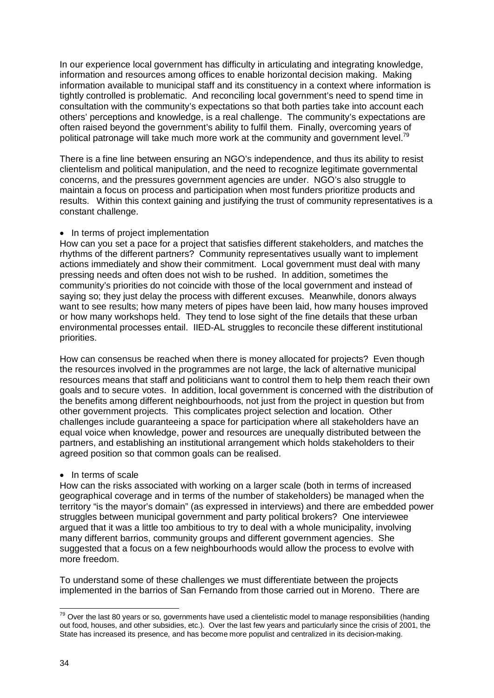In our experience local government has difficulty in articulating and integrating knowledge, information and resources among offices to enable horizontal decision making. Making information available to municipal staff and its constituency in a context where information is tightly controlled is problematic. And reconciling local government's need to spend time in consultation with the community's expectations so that both parties take into account each others' perceptions and knowledge, is a real challenge. The community's expectations are often raised beyond the government's ability to fulfil them. Finally, overcoming years of political patronage will take much more work at the community and government level.<sup>79</sup>

There is a fine line between ensuring an NGO's independence, and thus its ability to resist clientelism and political manipulation, and the need to recognize legitimate governmental concerns, and the pressures government agencies are under. NGO's also struggle to maintain a focus on process and participation when most funders prioritize products and results. Within this context gaining and justifying the trust of community representatives is a constant challenge.

#### • In terms of project implementation

How can you set a pace for a project that satisfies different stakeholders, and matches the rhythms of the different partners? Community representatives usually want to implement actions immediately and show their commitment. Local government must deal with many pressing needs and often does not wish to be rushed. In addition, sometimes the community's priorities do not coincide with those of the local government and instead of saying so; they just delay the process with different excuses. Meanwhile, donors always want to see results; how many meters of pipes have been laid, how many houses improved or how many workshops held. They tend to lose sight of the fine details that these urban environmental processes entail. IIED-AL struggles to reconcile these different institutional priorities.

How can consensus be reached when there is money allocated for projects? Even though the resources involved in the programmes are not large, the lack of alternative municipal resources means that staff and politicians want to control them to help them reach their own goals and to secure votes. In addition, local government is concerned with the distribution of the benefits among different neighbourhoods, not just from the project in question but from other government projects. This complicates project selection and location. Other challenges include guaranteeing a space for participation where all stakeholders have an equal voice when knowledge, power and resources are unequally distributed between the partners, and establishing an institutional arrangement which holds stakeholders to their agreed position so that common goals can be realised.

#### • In terms of scale

How can the risks associated with working on a larger scale (both in terms of increased geographical coverage and in terms of the number of stakeholders) be managed when the territory "is the mayor's domain" (as expressed in interviews) and there are embedded power struggles between municipal government and party political brokers? One interviewee argued that it was a little too ambitious to try to deal with a whole municipality, involving many different barrios, community groups and different government agencies. She suggested that a focus on a few neighbourhoods would allow the process to evolve with more freedom.

To understand some of these challenges we must differentiate between the projects implemented in the barrios of San Fernando from those carried out in Moreno. There are

 $\overline{a}$  $^{79}$  Over the last 80 years or so, governments have used a clientelistic model to manage responsibilities (handing out food, houses, and other subsidies, etc.). Over the last few years and particularly since the crisis of 2001, the State has increased its presence, and has become more populist and centralized in its decision-making.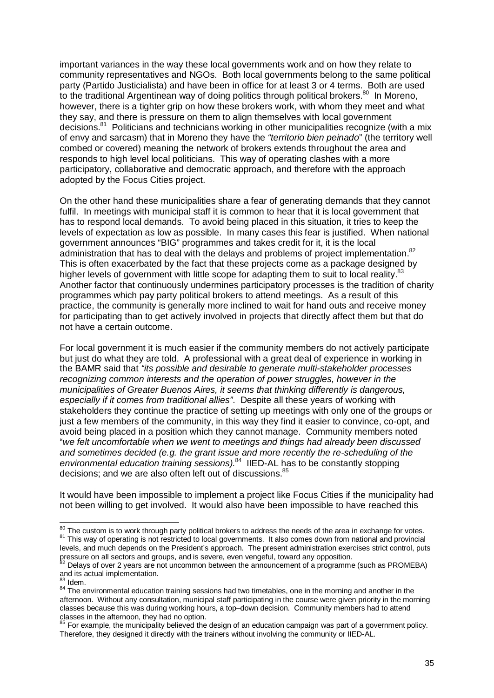important variances in the way these local governments work and on how they relate to community representatives and NGOs. Both local governments belong to the same political party (Partido Justicialista) and have been in office for at least 3 or 4 terms. Both are used to the traditional Argentinean way of doing politics through political brokers.<sup>80</sup> In Moreno, however, there is a tighter grip on how these brokers work, with whom they meet and what they say, and there is pressure on them to align themselves with local government decisions.<sup>81</sup> Politicians and technicians working in other municipalities recognize (with a mix of envy and sarcasm) that in Moreno they have the *"territorio bien peinado*" (the territory well combed or covered) meaning the network of brokers extends throughout the area and responds to high level local politicians. This way of operating clashes with a more participatory, collaborative and democratic approach, and therefore with the approach adopted by the Focus Cities project.

On the other hand these municipalities share a fear of generating demands that they cannot fulfil. In meetings with municipal staff it is common to hear that it is local government that has to respond local demands. To avoid being placed in this situation, it tries to keep the levels of expectation as low as possible. In many cases this fear is justified. When national government announces "BIG" programmes and takes credit for it, it is the local administration that has to deal with the delays and problems of project implementation. $82$ This is often exacerbated by the fact that these projects come as a package designed by higher levels of government with little scope for adapting them to suit to local reality.<sup>83</sup> Another factor that continuously undermines participatory processes is the tradition of charity programmes which pay party political brokers to attend meetings. As a result of this practice, the community is generally more inclined to wait for hand outs and receive money for participating than to get actively involved in projects that directly affect them but that do not have a certain outcome.

For local government it is much easier if the community members do not actively participate but just do what they are told. A professional with a great deal of experience in working in the BAMR said that *"its possible and desirable to generate multi-stakeholder processes recognizing common interests and the operation of power struggles, however in the municipalities of Greater Buenos Aires, it seems that thinking differently is dangerous, especially if it comes from traditional allies"*. Despite all these years of working with stakeholders they continue the practice of setting up meetings with only one of the groups or just a few members of the community, in this way they find it easier to convince, co-opt, and avoid being placed in a position which they cannot manage. Community members noted "*we felt uncomfortable when we went to meetings and things had already been discussed and sometimes decided (e.g. the grant issue and more recently the re-scheduling of the environmental education training sessions).*<sup>84</sup> IIED-AL has to be constantly stopping decisions; and we are also often left out of discussions.<sup>85</sup>

It would have been impossible to implement a project like Focus Cities if the municipality had not been willing to get involved. It would also have been impossible to have reached this

 $\overline{\phantom{a}}$ 

 $\frac{80}{10}$  The custom is to work through party political brokers to address the needs of the area in exchange for votes. 81 This way of operating is not restricted to local governments. It also comes down from national and provincial levels, and much depends on the President's approach. The present administration exercises strict control, puts pressure on all sectors and groups, and is severe, even vengeful, toward any opposition.

 $82$  Delays of over 2 years are not uncommon between the announcement of a programme (such as PROMEBA) and its actual implementation.

Idem.

Bern.<br><sup>84</sup> The environmental education training sessions had two timetables, one in the morning and another in the afternoon. Without any consultation, municipal staff participating in the course were given priority in the morning classes because this was during working hours, a top–down decision. Community members had to attend classes in the afternoon, they had no option.

 $85$  For example, the municipality believed the design of an education campaign was part of a government policy. Therefore, they designed it directly with the trainers without involving the community or IIED-AL.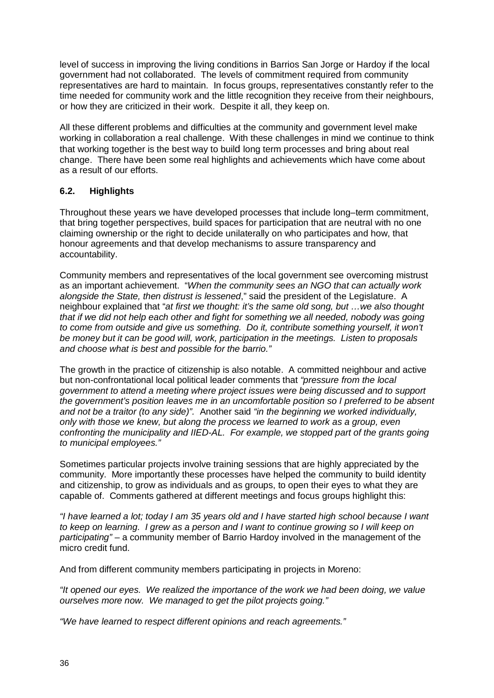level of success in improving the living conditions in Barrios San Jorge or Hardoy if the local government had not collaborated. The levels of commitment required from community representatives are hard to maintain. In focus groups, representatives constantly refer to the time needed for community work and the little recognition they receive from their neighbours, or how they are criticized in their work. Despite it all, they keep on.

All these different problems and difficulties at the community and government level make working in collaboration a real challenge. With these challenges in mind we continue to think that working together is the best way to build long term processes and bring about real change. There have been some real highlights and achievements which have come about as a result of our efforts.

# **6.2. Highlights**

Throughout these years we have developed processes that include long–term commitment, that bring together perspectives, build spaces for participation that are neutral with no one claiming ownership or the right to decide unilaterally on who participates and how, that honour agreements and that develop mechanisms to assure transparency and accountability.

Community members and representatives of the local government see overcoming mistrust as an important achievement. "*When the community sees an NGO that can actually work alongside the State, then distrust is lessened*," said the president of the Legislature. A neighbour explained that "*at first we thought: it's the same old song, but …we also thought that if we did not help each other and fight for something we all needed, nobody was going to come from outside and give us something. Do it, contribute something yourself, it won't be money but it can be good will, work, participation in the meetings. Listen to proposals and choose what is best and possible for the barrio."*

The growth in the practice of citizenship is also notable. A committed neighbour and active but non-confrontational local political leader comments that *"pressure from the local government to attend a meeting where project issues were being discussed and to support the government's position leaves me in an uncomfortable position so I preferred to be absent and not be a traitor (to any side)".* Another said *"in the beginning we worked individually, only with those we knew, but along the process we learned to work as a group, even confronting the municipality and IIED-AL. For example, we stopped part of the grants going to municipal employees."*

Sometimes particular projects involve training sessions that are highly appreciated by the community. More importantly these processes have helped the community to build identity and citizenship, to grow as individuals and as groups, to open their eyes to what they are capable of. Comments gathered at different meetings and focus groups highlight this:

*"I have learned a lot; today I am 35 years old and I have started high school because I want to keep on learning. I grew as a person and I want to continue growing so I will keep on participating"* – a community member of Barrio Hardoy involved in the management of the micro credit fund.

And from different community members participating in projects in Moreno:

*"It opened our eyes. We realized the importance of the work we had been doing, we value ourselves more now. We managed to get the pilot projects going."*

*"We have learned to respect different opinions and reach agreements."*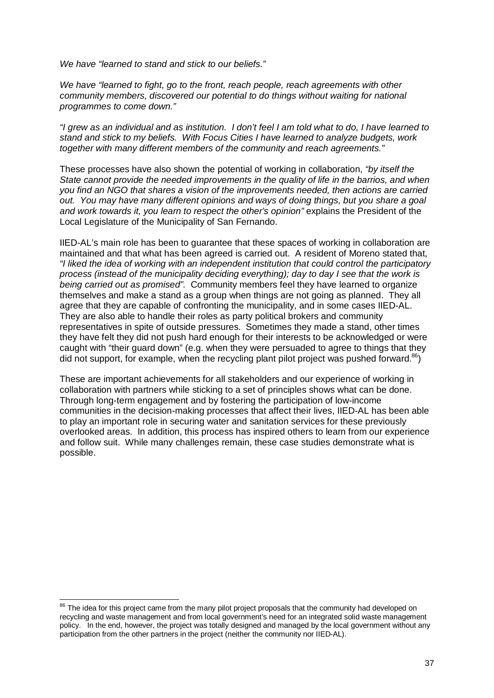*We have "learned to stand and stick to our beliefs."* 

*We have "learned to fight, go to the front, reach people, reach agreements with other community members, discovered our potential to do things without waiting for national programmes to come down."* 

*"I grew as an individual and as institution. I don't feel I am told what to do, I have learned to stand and stick to my beliefs. With Focus Cities I have learned to analyze budgets, work together with many different members of the community and reach agreements."*

These processes have also shown the potential of working in collaboration, *"by itself the State cannot provide the needed improvements in the quality of life in the barrios, and when you find an NGO that shares a vision of the improvements needed, then actions are carried out. You may have many different opinions and ways of doing things, but you share a goal*  and work towards it, you learn to respect the other's opinion" explains the President of the Local Legislature of the Municipality of San Fernando.

IIED-AL's main role has been to guarantee that these spaces of working in collaboration are maintained and that what has been agreed is carried out. A resident of Moreno stated that, *"I liked the idea of working with an independent institution that could control the participatory process (instead of the municipality deciding everything); day to day I see that the work is being carried out as promised".* Community members feel they have learned to organize themselves and make a stand as a group when things are not going as planned. They all agree that they are capable of confronting the municipality, and in some cases IIED-AL. They are also able to handle their roles as party political brokers and community representatives in spite of outside pressures. Sometimes they made a stand, other times they have felt they did not push hard enough for their interests to be acknowledged or were caught with "their guard down" (e.g. when they were persuaded to agree to things that they did not support, for example, when the recycling plant pilot project was pushed forward.<sup>86</sup>)

These are important achievements for all stakeholders and our experience of working in collaboration with partners while sticking to a set of principles shows what can be done. Through long-term engagement and by fostering the participation of low-income communities in the decision-making processes that affect their lives, IIED-AL has been able to play an important role in securing water and sanitation services for these previously overlooked areas. In addition, this process has inspired others to learn from our experience and follow suit. While many challenges remain, these case studies demonstrate what is possible.

 $\overline{\phantom{a}}$  $86$  The idea for this project came from the many pilot project proposals that the community had developed on recycling and waste management and from local government's need for an integrated solid waste management policy. In the end, however, the project was totally designed and managed by the local government without any participation from the other partners in the project (neither the community nor IIED-AL).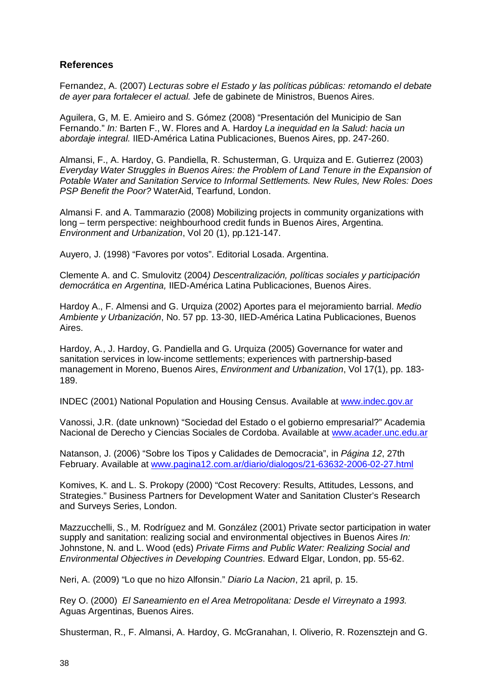# **References**

Fernandez, A. (2007) *Lecturas sobre el Estado y las políticas públicas: retomando el debate de ayer para fortalecer el actual.* Jefe de gabinete de Ministros, Buenos Aires.

Aguilera, G, M. E. Amieiro and S. Gómez (2008) "Presentación del Municipio de San Fernando." *In:* Barten F., W. Flores and A. Hardoy *La inequidad en la Salud: hacia un abordaje integral.* IIED-América Latina Publicaciones, Buenos Aires, pp. 247-260.

Almansi, F., A. Hardoy, G. Pandiella, R. Schusterman, G. Urquiza and E. Gutierrez (2003) *Everyday Water Struggles in Buenos Aires: the Problem of Land Tenure in the Expansion of Potable Water and Sanitation Service to Informal Settlements. New Rules, New Roles: Does PSP Benefit the Poor?* WaterAid, Tearfund, London.

Almansi F. and A. Tammarazio (2008) Mobilizing projects in community organizations with long – term perspective: neighbourhood credit funds in Buenos Aires, Argentina. *Environment and Urbanization*, Vol 20 (1), pp.121-147.

Auyero, J. (1998) "Favores por votos". Editorial Losada. Argentina.

Clemente A. and C. Smulovitz (2004*) Descentralización, políticas sociales y participación democrática en Argentina,* IIED-América Latina Publicaciones, Buenos Aires.

Hardoy A., F. Almensi and G. Urquiza (2002) Aportes para el mejoramiento barrial. *Medio Ambiente y Urbanización*, No. 57 pp. 13-30, IIED-América Latina Publicaciones, Buenos Aires.

Hardoy, A., J. Hardoy, G. Pandiella and G. Urquiza (2005) Governance for water and sanitation services in low-income settlements; experiences with partnership-based management in Moreno, Buenos Aires, *Environment and Urbanization*, Vol 17(1), pp. 183- 189.

INDEC (2001) National Population and Housing Census. Available at www.indec.gov.ar

Vanossi, J.R. (date unknown) "Sociedad del Estado o el gobierno empresarial?" Academia Nacional de Derecho y Ciencias Sociales de Cordoba. Available at www.acader.unc.edu.ar

Natanson, J. (2006) "Sobre los Tipos y Calidades de Democracia", in *Página 12*, 27th February. Available at www.pagina12.com.ar/diario/dialogos/21-63632-2006-02-27.html

Komives, K. and L. S. Prokopy (2000) "Cost Recovery: Results, Attitudes, Lessons, and Strategies." Business Partners for Development Water and Sanitation Cluster's Research and Surveys Series, London.

Mazzucchelli, S., M. Rodríguez and M. González (2001) Private sector participation in water supply and sanitation: realizing social and environmental objectives in Buenos Aires *In:* Johnstone, N. and L. Wood (eds) *Private Firms and Public Water: Realizing Social and Environmental Objectives in Developing Countries*. Edward Elgar, London, pp. 55-62.

Neri, A. (2009) "Lo que no hizo Alfonsin." *Diario La Nacion*, 21 april, p. 15.

Rey O. (2000) *El Saneamiento en el Area Metropolitana: Desde el Virreynato a 1993.* Aguas Argentinas, Buenos Aires.

Shusterman, R., F. Almansi, A. Hardoy, G. McGranahan, I. Oliverio, R. Rozensztejn and G.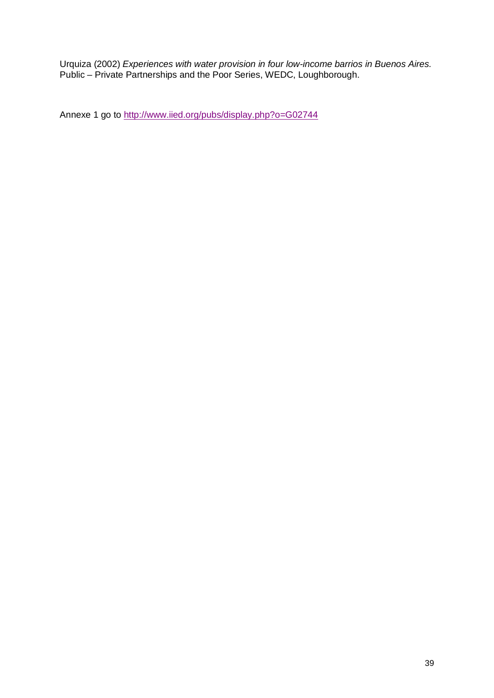Urquiza (2002) *Experiences with water provision in four low-income barrios in Buenos Aires.*  Public – Private Partnerships and the Poor Series, WEDC, Loughborough.

Annexe 1 go to http://www.iied.org/pubs/display.php?o=G02744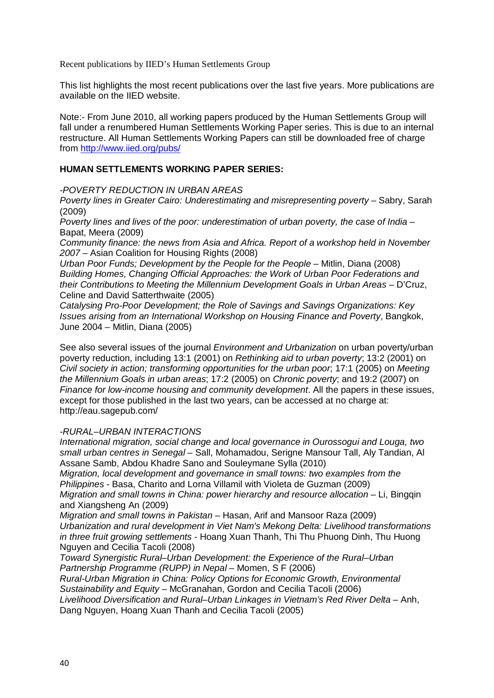Recent publications by IIED's Human Settlements Group

This list highlights the most recent publications over the last five years. More publications are available on the IIED website.

Note:- From June 2010, all working papers produced by the Human Settlements Group will fall under a renumbered Human Settlements Working Paper series. This is due to an internal restructure. All Human Settlements Working Papers can still be downloaded free of charge from http://www.iied.org/pubs/

### **HUMAN SETTLEMENTS WORKING PAPER SERIES:**

*-POVERTY REDUCTION IN URBAN AREAS* 

*Poverty lines in Greater Cairo: Underestimating and misrepresenting poverty* – Sabry, Sarah (2009)

*Poverty lines and lives of the poor: underestimation of urban poverty, the case of India* – Bapat, Meera (2009)

*Community finance: the news from Asia and Africa. Report of a workshop held in November 2007 –* Asian Coalition for Housing Rights (2008)

*Urban Poor Funds; Development by the People for the People - Mitlin, Diana (2008) Building Homes, Changing Official Approaches: the Work of Urban Poor Federations and their Contributions to Meeting the Millennium Development Goals in Urban Areas* – D'Cruz, Celine and David Satterthwaite (2005)

*Catalysing Pro-Poor Development; the Role of Savings and Savings Organizations: Key Issues arising from an International Workshop on Housing Finance and Poverty*, Bangkok, June 2004 – Mitlin, Diana (2005)

See also several issues of the journal *Environment and Urbanization* on urban poverty/urban poverty reduction, including 13:1 (2001) on *Rethinking aid to urban poverty*; 13:2 (2001) on *Civil society in action; transforming opportunities for the urban poor*; 17:1 (2005) on *Meeting the Millennium Goals in urban areas*; 17:2 (2005) on *Chronic poverty*; and 19:2 (2007) on *Finance for low-income housing and community development*. All the papers in these issues, except for those published in the last two years, can be accessed at no charge at: http://eau.sagepub.com/

#### *-RURAL–URBAN INTERACTIONS*

*International migration, social change and local governance in Ourossogui and Louga, two small urban centres in Senegal* – Sall, Mohamadou, Serigne Mansour Tall, Aly Tandian, Al Assane Samb, Abdou Khadre Sano and Souleymane Sylla (2010)

*Migration, local development and governance in small towns: two examples from the Philippines* - Basa, Charito and Lorna Villamil with Violeta de Guzman (2009)

*Migration and small towns in China: power hierarchy and resource allocation* – Li, Bingqin and Xiangsheng An (2009)

*Migration and small towns in Pakistan* – Hasan, Arif and Mansoor Raza (2009) *Urbanization and rural development in Viet Nam's Mekong Delta: Livelihood transformations in three fruit growing settlements* - Hoang Xuan Thanh, Thi Thu Phuong Dinh, Thu Huong Nguyen and Cecilia Tacoli (2008)

*Toward Synergistic Rural–Urban Development: the Experience of the Rural–Urban Partnership Programme (RUPP) in Nepal* – Momen, S F (2006)

*Rural-Urban Migration in China: Policy Options for Economic Growth, Environmental Sustainability and Equity* – McGranahan, Gordon and Cecilia Tacoli (2006)

*Livelihood Diversification and Rural–Urban Linkages in Vietnam's Red River Delta* – Anh, Dang Nguyen, Hoang Xuan Thanh and Cecilia Tacoli (2005)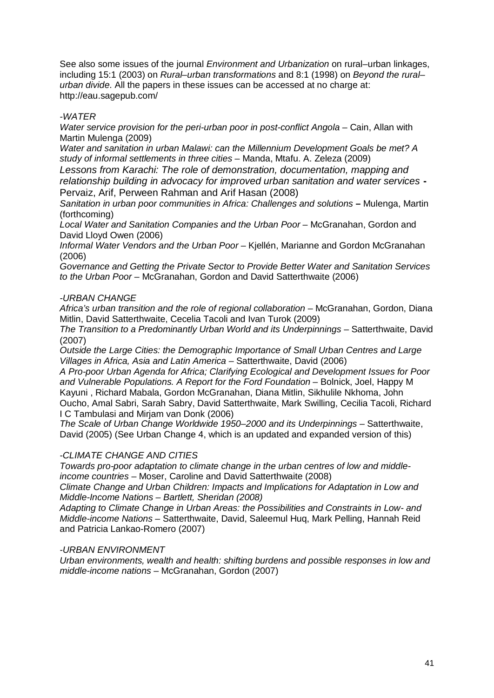See also some issues of the journal *Environment and Urbanization* on rural–urban linkages, including 15:1 (2003) on *Rural–urban transformations* and 8:1 (1998) on *Beyond the rural– urban divide*. All the papers in these issues can be accessed at no charge at: http://eau.sagepub.com/

### *-WATER*

*Water service provision for the peri-urban poor in post-conflict Angola* – Cain, Allan with Martin Mulenga (2009)

*Water and sanitation in urban Malawi: can the Millennium Development Goals be met? A study of informal settlements in three cities* – Manda, Mtafu. A. Zeleza (2009)

*Lessons from Karachi: The role of demonstration, documentation, mapping and relationship building in advocacy for improved urban sanitation and water services* **-** Pervaiz, Arif, Perween Rahman and Arif Hasan (2008)

*Sanitation in urban poor communities in Africa: Challenges and solutions* **–** Mulenga, Martin (forthcoming)

*Local Water and Sanitation Companies and the Urban Poor* – McGranahan, Gordon and David Lloyd Owen (2006)

*Informal Water Vendors and the Urban Poor* – Kjellén, Marianne and Gordon McGranahan (2006)

*Governance and Getting the Private Sector to Provide Better Water and Sanitation Services to the Urban Poor –* McGranahan, Gordon and David Satterthwaite (2006)

#### *-URBAN CHANGE*

*Africa's urban transition and the role of regional collaboration* – McGranahan, Gordon, Diana Mitlin, David Satterthwaite, Cecelia Tacoli and Ivan Turok (2009)

*The Transition to a Predominantly Urban World and its Underpinnings* – Satterthwaite, David (2007)

*Outside the Large Cities: the Demographic Importance of Small Urban Centres and Large Villages in Africa, Asia and Latin America* – Satterthwaite, David (2006)

*A Pro-poor Urban Agenda for Africa; Clarifying Ecological and Development Issues for Poor and Vulnerable Populations. A Report for the Ford Foundation* – Bolnick, Joel, Happy M Kayuni , Richard Mabala, Gordon McGranahan, Diana Mitlin, Sikhulile Nkhoma, John Oucho, Amal Sabri, Sarah Sabry, David Satterthwaite, Mark Swilling, Cecilia Tacoli, Richard I C Tambulasi and Mirjam van Donk (2006)

*The Scale of Urban Change Worldwide 1950–2000 and its Underpinnings* – Satterthwaite, David (2005) (See Urban Change 4, which is an updated and expanded version of this)

#### *-CLIMATE CHANGE AND CITIES*

*Towards pro-poor adaptation to climate change in the urban centres of low and middleincome countries* – Moser, Caroline and David Satterthwaite (2008)

*Climate Change and Urban Children: Impacts and Implications for Adaptation in Low and Middle-Income Nations – Bartlett, Sheridan (2008)*

*Adapting to Climate Change in Urban Areas: the Possibilities and Constraints in Low- and Middle-income Nations* – Satterthwaite, David, Saleemul Huq, Mark Pelling, Hannah Reid and Patricia Lankao-Romero (2007)

#### *-URBAN ENVIRONMENT*

*Urban environments, wealth and health: shifting burdens and possible responses in low and middle-income nations* – McGranahan, Gordon (2007)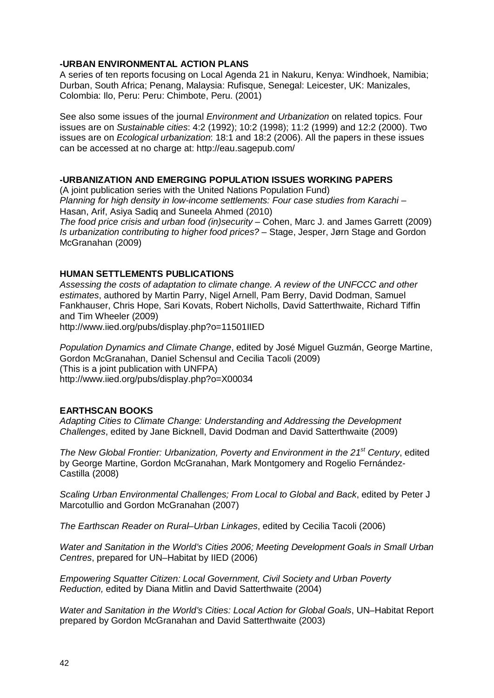#### **-URBAN ENVIRONMENTAL ACTION PLANS**

A series of ten reports focusing on Local Agenda 21 in Nakuru, Kenya: Windhoek, Namibia; Durban, South Africa; Penang, Malaysia: Rufisque, Senegal: Leicester, UK: Manizales, Colombia: Ilo, Peru: Peru: Chimbote, Peru. (2001)

See also some issues of the journal *Environment and Urbanization* on related topics. Four issues are on *Sustainable cities*: 4:2 (1992); 10:2 (1998); 11:2 (1999) and 12:2 (2000). Two issues are on *Ecological urbanization*: 18:1 and 18:2 (2006). All the papers in these issues can be accessed at no charge at: http://eau.sagepub.com/

#### **-URBANIZATION AND EMERGING POPULATION ISSUES WORKING PAPERS**

(A joint publication series with the United Nations Population Fund) *Planning for high density in low-income settlements: Four case studies from Karachi* – Hasan, Arif, Asiya Sadiq and Suneela Ahmed (2010)

*The food price crisis and urban food (in)security* – Cohen, Marc J. and James Garrett (2009) *Is urbanization contributing to higher food prices?* – Stage, Jesper, Jørn Stage and Gordon McGranahan (2009)

#### **HUMAN SETTLEMENTS PUBLICATIONS**

*Assessing the costs of adaptation to climate change. A review of the UNFCCC and other estimates*, authored by Martin Parry, Nigel Arnell, Pam Berry, David Dodman, Samuel Fankhauser, Chris Hope, Sari Kovats, Robert Nicholls, David Satterthwaite, Richard Tiffin and Tim Wheeler (2009)

http://www.iied.org/pubs/display.php?o=11501IIED

*Population Dynamics and Climate Change*, edited by José Miguel Guzmán, George Martine, Gordon McGranahan, Daniel Schensul and Cecilia Tacoli (2009) (This is a joint publication with UNFPA) http://www.iied.org/pubs/display.php?o=X00034

#### **EARTHSCAN BOOKS**

*Adapting Cities to Climate Change: Understanding and Addressing the Development Challenges*, edited by Jane Bicknell, David Dodman and David Satterthwaite (2009)

*The New Global Frontier: Urbanization, Poverty and Environment in the 21st Century*, edited by George Martine, Gordon McGranahan, Mark Montgomery and Rogelio Fernández-Castilla (2008)

*Scaling Urban Environmental Challenges; From Local to Global and Back*, edited by Peter J Marcotullio and Gordon McGranahan (2007)

*The Earthscan Reader on Rural–Urban Linkages*, edited by Cecilia Tacoli (2006)

*Water and Sanitation in the World's Cities 2006; Meeting Development Goals in Small Urban Centres*, prepared for UN–Habitat by IIED (2006)

*Empowering Squatter Citizen: Local Government, Civil Society and Urban Poverty Reduction,* edited by Diana Mitlin and David Satterthwaite (2004)

*Water and Sanitation in the World's Cities: Local Action for Global Goals*, UN–Habitat Report prepared by Gordon McGranahan and David Satterthwaite (2003)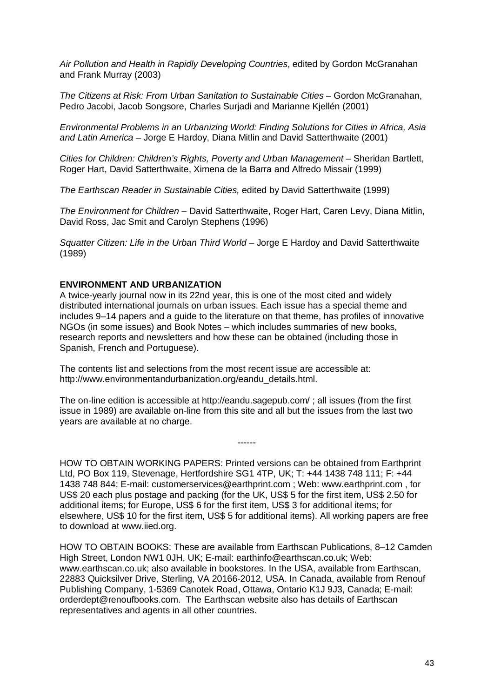*Air Pollution and Health in Rapidly Developing Countries*, edited by Gordon McGranahan and Frank Murray (2003)

*The Citizens at Risk: From Urban Sanitation to Sustainable Cities* – Gordon McGranahan, Pedro Jacobi, Jacob Songsore, Charles Surjadi and Marianne Kjellén (2001)

*Environmental Problems in an Urbanizing World: Finding Solutions for Cities in Africa, Asia and Latin America* – Jorge E Hardoy, Diana Mitlin and David Satterthwaite (2001)

*Cities for Children: Children's Rights, Poverty and Urban Management –* Sheridan Bartlett, Roger Hart, David Satterthwaite, Ximena de la Barra and Alfredo Missair (1999)

*The Earthscan Reader in Sustainable Cities,* edited by David Satterthwaite (1999)

*The Environment for Children* – David Satterthwaite, Roger Hart, Caren Levy, Diana Mitlin, David Ross, Jac Smit and Carolyn Stephens (1996)

*Squatter Citizen: Life in the Urban Third World* – Jorge E Hardoy and David Satterthwaite (1989)

#### **ENVIRONMENT AND URBANIZATION**

A twice-yearly journal now in its 22nd year, this is one of the most cited and widely distributed international journals on urban issues. Each issue has a special theme and includes 9–14 papers and a guide to the literature on that theme, has profiles of innovative NGOs (in some issues) and Book Notes – which includes summaries of new books, research reports and newsletters and how these can be obtained (including those in Spanish, French and Portuguese).

The contents list and selections from the most recent issue are accessible at: http://www.environmentandurbanization.org/eandu\_details.html.

The on-line edition is accessible at http://eandu.sagepub.com/ ; all issues (from the first issue in 1989) are available on-line from this site and all but the issues from the last two years are available at no charge.

HOW TO OBTAIN WORKING PAPERS: Printed versions can be obtained from Earthprint Ltd, PO Box 119, Stevenage, Hertfordshire SG1 4TP, UK; T: +44 1438 748 111; F: +44 1438 748 844; E-mail: customerservices@earthprint.com ; Web: www.earthprint.com , for US\$ 20 each plus postage and packing (for the UK, US\$ 5 for the first item, US\$ 2.50 for additional items; for Europe, US\$ 6 for the first item, US\$ 3 for additional items; for elsewhere, US\$ 10 for the first item, US\$ 5 for additional items). All working papers are free to download at www.iied.org.

------

HOW TO OBTAIN BOOKS: These are available from Earthscan Publications, 8–12 Camden High Street, London NW1 0JH, UK; E-mail: earthinfo@earthscan.co.uk; Web: www.earthscan.co.uk; also available in bookstores. In the USA, available from Earthscan, 22883 Quicksilver Drive, Sterling, VA 20166-2012, USA. In Canada, available from Renouf Publishing Company, 1-5369 Canotek Road, Ottawa, Ontario K1J 9J3, Canada; E-mail: orderdept@renoufbooks.com. The Earthscan website also has details of Earthscan representatives and agents in all other countries.